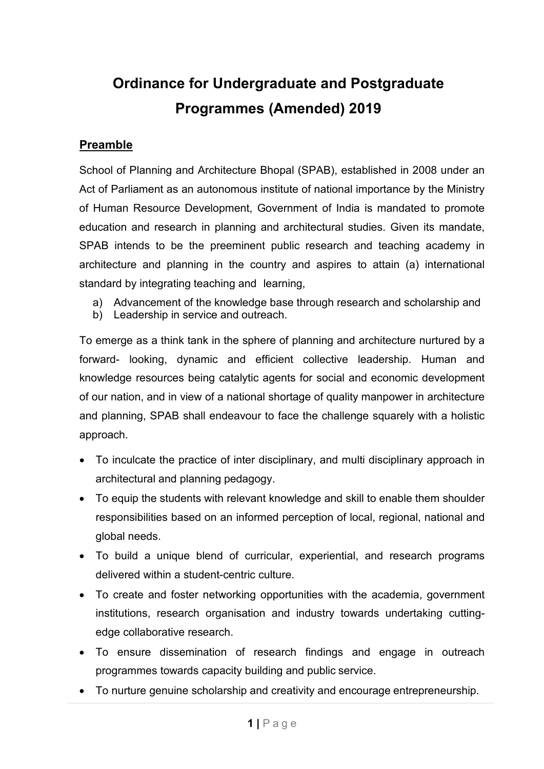# **Ordinance for Undergraduate and Postgraduate Programmes (Amended) 2019**

# **Preamble**

School of Planning and Architecture Bhopal (SPAB), established in 2008 under an Act of Parliament as an autonomous institute of national importance by the Ministry of Human Resource Development, Government of India is mandated to promote education and research in planning and architectural studies. Given its mandate, SPAB intends to be the preeminent public research and teaching academy in architecture and planning in the country and aspires to attain (a) international standard by integrating teaching and learning,

- a) Advancement of the knowledge base through research and scholarship and
- b) Leadership in service and outreach.

To emerge as a think tank in the sphere of planning and architecture nurtured by a forward- looking, dynamic and efficient collective leadership. Human and knowledge resources being catalytic agents for social and economic development of our nation, and in view of a national shortage of quality manpower in architecture and planning, SPAB shall endeavour to face the challenge squarely with a holistic approach.

- To inculcate the practice of inter disciplinary, and multi disciplinary approach in architectural and planning pedagogy.
- To equip the students with relevant knowledge and skill to enable them shoulder responsibilities based on an informed perception of local, regional, national and global needs.
- To build a unique blend of curricular, experiential, and research programs delivered within a student-centric culture.
- To create and foster networking opportunities with the academia, government institutions, research organisation and industry towards undertaking cuttingedge collaborative research.
- To ensure dissemination of research findings and engage in outreach programmes towards capacity building and public service.
- To nurture genuine scholarship and creativity and encourage entrepreneurship.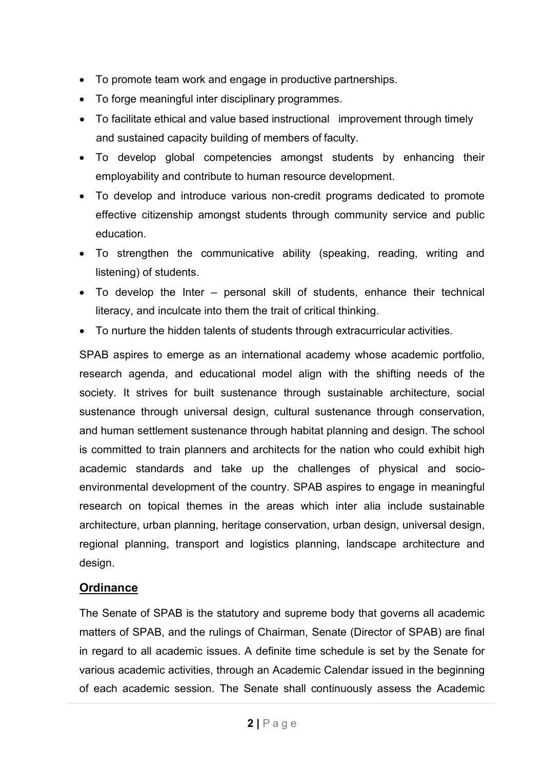- To promote team work and engage in productive partnerships.
- To forge meaningful inter disciplinary programmes.
- To facilitate ethical and value based instructional improvement through timely and sustained capacity building of members of faculty.
- To develop global competencies amongst students by enhancing their employability and contribute to human resource development.
- To develop and introduce various non-credit programs dedicated to promote effective citizenship amongst students through community service and public education.
- To strengthen the communicative ability (speaking, reading, writing and listening) of students.
- To develop the Inter personal skill of students, enhance their technical literacy, and inculcate into them the trait of critical thinking.
- To nurture the hidden talents of students through extracurricular activities.

SPAB aspires to emerge as an international academy whose academic portfolio, research agenda, and educational model align with the shifting needs of the society. It strives for built sustenance through sustainable architecture, social sustenance through universal design, cultural sustenance through conservation, and human settlement sustenance through habitat planning and design. The school is committed to train planners and architects for the nation who could exhibit high academic standards and take up the challenges of physical and socioenvironmental development of the country. SPAB aspires to engage in meaningful research on topical themes in the areas which inter alia include sustainable architecture, urban planning, heritage conservation, urban design, universal design, regional planning, transport and logistics planning, landscape architecture and design.

# **Ordinance**

The Senate of SPAB is the statutory and supreme body that governs all academic matters of SPAB, and the rulings of Chairman, Senate (Director of SPAB) are final in regard to all academic issues. A definite time schedule is set by the Senate for various academic activities, through an Academic Calendar issued in the beginning of each academic session. The Senate shall continuously assess the Academic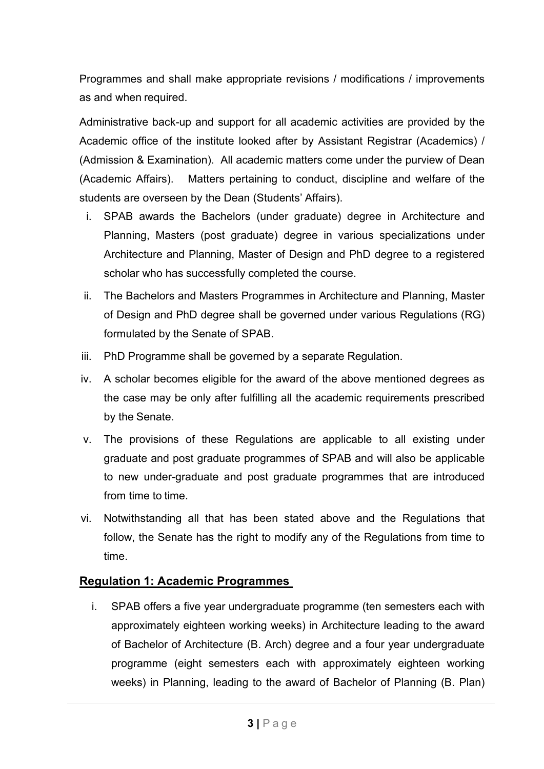Programmes and shall make appropriate revisions / modifications / improvements as and when required.

Administrative back-up and support for all academic activities are provided by the Academic office of the institute looked after by Assistant Registrar (Academics) / (Admission & Examination). All academic matters come under the purview of Dean (Academic Affairs). Matters pertaining to conduct, discipline and welfare of the students are overseen by the Dean (Students' Affairs).

- i. SPAB awards the Bachelors (under graduate) degree in Architecture and Planning, Masters (post graduate) degree in various specializations under Architecture and Planning, Master of Design and PhD degree to a registered scholar who has successfully completed the course.
- ii. The Bachelors and Masters Programmes in Architecture and Planning, Master of Design and PhD degree shall be governed under various Regulations (RG) formulated by the Senate of SPAB.
- iii. PhD Programme shall be governed by a separate Regulation.
- iv. A scholar becomes eligible for the award of the above mentioned degrees as the case may be only after fulfilling all the academic requirements prescribed by the Senate.
- v. The provisions of these Regulations are applicable to all existing under graduate and post graduate programmes of SPAB and will also be applicable to new under-graduate and post graduate programmes that are introduced from time to time.
- vi. Notwithstanding all that has been stated above and the Regulations that follow, the Senate has the right to modify any of the Regulations from time to time.

# **Regulation 1: Academic Programmes**

i. SPAB offers a five year undergraduate programme (ten semesters each with approximately eighteen working weeks) in Architecture leading to the award of Bachelor of Architecture (B. Arch) degree and a four year undergraduate programme (eight semesters each with approximately eighteen working weeks) in Planning, leading to the award of Bachelor of Planning (B. Plan)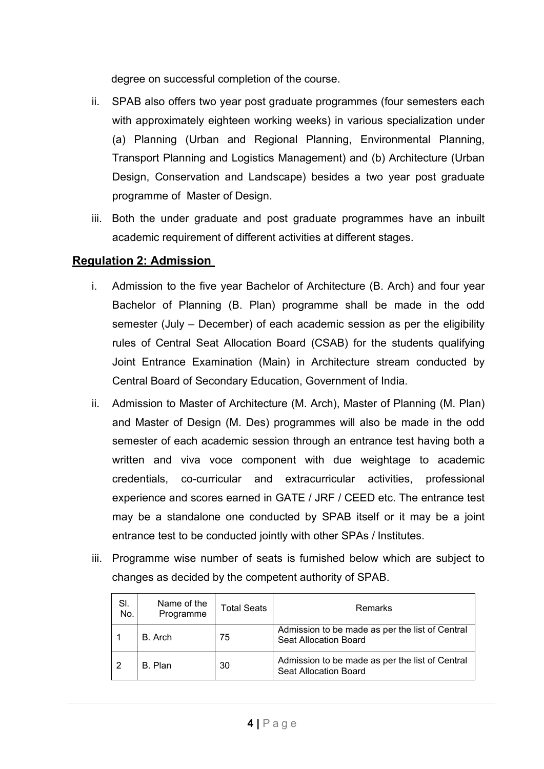degree on successful completion of the course.

- ii. SPAB also offers two year post graduate programmes (four semesters each with approximately eighteen working weeks) in various specialization under (a) Planning (Urban and Regional Planning, Environmental Planning, Transport Planning and Logistics Management) and (b) Architecture (Urban Design, Conservation and Landscape) besides a two year post graduate programme of Master of Design.
- iii. Both the under graduate and post graduate programmes have an inbuilt academic requirement of different activities at different stages.

# **Regulation 2: Admission**

- i. Admission to the five year Bachelor of Architecture (B. Arch) and four year Bachelor of Planning (B. Plan) programme shall be made in the odd semester (July – December) of each academic session as per the eligibility rules of Central Seat Allocation Board (CSAB) for the students qualifying Joint Entrance Examination (Main) in Architecture stream conducted by Central Board of Secondary Education, Government of India.
- ii. Admission to Master of Architecture (M. Arch), Master of Planning (M. Plan) and Master of Design (M. Des) programmes will also be made in the odd semester of each academic session through an entrance test having both a written and viva voce component with due weightage to academic credentials, co-curricular and extracurricular activities, professional experience and scores earned in GATE / JRF / CEED etc. The entrance test may be a standalone one conducted by SPAB itself or it may be a joint entrance test to be conducted jointly with other SPAs / Institutes.
- iii. Programme wise number of seats is furnished below which are subject to changes as decided by the competent authority of SPAB.

| SI.<br>No. | Name of the<br>Programme | Total Seats | Remarks                                                                  |
|------------|--------------------------|-------------|--------------------------------------------------------------------------|
|            | B. Arch                  | 75          | Admission to be made as per the list of Central<br>Seat Allocation Board |
| -2         | B. Plan                  | 30          | Admission to be made as per the list of Central<br>Seat Allocation Board |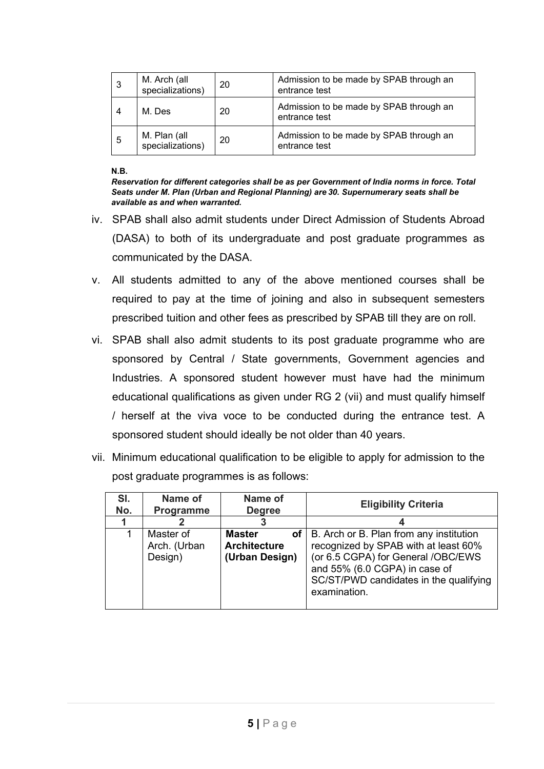| 3 | M. Arch (all<br>specializations) | 20 | Admission to be made by SPAB through an<br>entrance test |
|---|----------------------------------|----|----------------------------------------------------------|
| 4 | M. Des                           | 20 | Admission to be made by SPAB through an<br>entrance test |
| 5 | M. Plan (all<br>specializations) | 20 | Admission to be made by SPAB through an<br>entrance test |

**N.B.** 

*Reservation for different categories shall be as per Government of India norms in force. Total Seats under M. Plan (Urban and Regional Planning) are 30. Supernumerary seats shall be available as and when warranted.* 

- iv. SPAB shall also admit students under Direct Admission of Students Abroad (DASA) to both of its undergraduate and post graduate programmes as communicated by the DASA.
- v. All students admitted to any of the above mentioned courses shall be required to pay at the time of joining and also in subsequent semesters prescribed tuition and other fees as prescribed by SPAB till they are on roll.
- vi. SPAB shall also admit students to its post graduate programme who are sponsored by Central / State governments, Government agencies and Industries. A sponsored student however must have had the minimum educational qualifications as given under RG 2 (vii) and must qualify himself / herself at the viva voce to be conducted during the entrance test. A sponsored student should ideally be not older than 40 years.
- vii. Minimum educational qualification to be eligible to apply for admission to the post graduate programmes is as follows:

| SI.<br>No. | Name of<br>Programme                 | Name of<br><b>Degree</b>                                     | <b>Eligibility Criteria</b>                                                                                                                                                                                      |
|------------|--------------------------------------|--------------------------------------------------------------|------------------------------------------------------------------------------------------------------------------------------------------------------------------------------------------------------------------|
|            |                                      |                                                              |                                                                                                                                                                                                                  |
|            | Master of<br>Arch. (Urban<br>Design) | <b>Master</b><br>οf<br><b>Architecture</b><br>(Urban Design) | B. Arch or B. Plan from any institution<br>recognized by SPAB with at least 60%<br>(or 6.5 CGPA) for General /OBC/EWS<br>and 55% (6.0 CGPA) in case of<br>SC/ST/PWD candidates in the qualifying<br>examination. |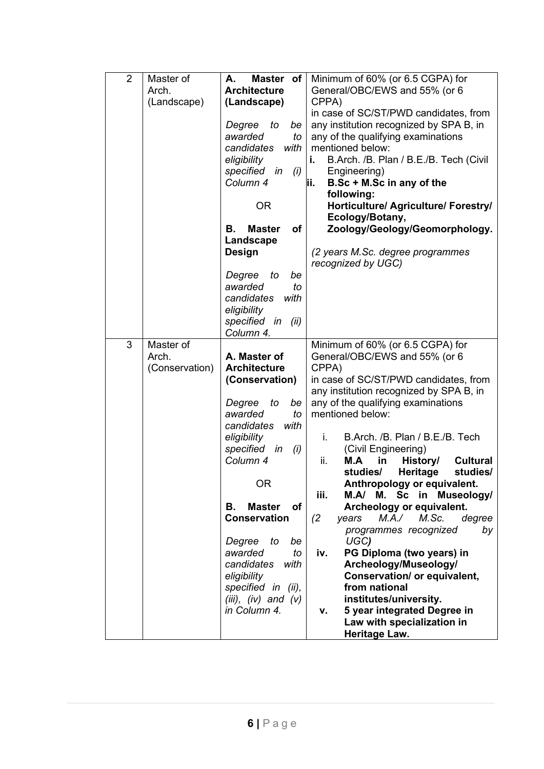| $\overline{2}$ | Master of      | Master of<br>А.             | Minimum of 60% (or 6.5 CGPA) for                                       |
|----------------|----------------|-----------------------------|------------------------------------------------------------------------|
|                | Arch.          | <b>Architecture</b>         | General/OBC/EWS and 55% (or 6                                          |
|                | (Landscape)    | (Landscape)                 | CPPA)                                                                  |
|                |                |                             | in case of SC/ST/PWD candidates, from                                  |
|                |                | Degree<br>to<br>be          | any institution recognized by SPA B, in                                |
|                |                | awarded<br>to               | any of the qualifying examinations                                     |
|                |                | candidates<br>with          | mentioned below:                                                       |
|                |                | eligibility                 | B.Arch. /B. Plan / B.E./B. Tech (Civil<br>i.                           |
|                |                | specified in<br>(i)         | Engineering)                                                           |
|                |                | Column 4                    | B.Sc + M.Sc in any of the<br>ji.                                       |
|                |                |                             | following:                                                             |
|                |                | <b>OR</b>                   | Horticulture/ Agriculture/ Forestry/                                   |
|                |                |                             | Ecology/Botany,                                                        |
|                |                | В.<br><b>Master</b><br>οf   | Zoology/Geology/Geomorphology.                                         |
|                |                | Landscape                   |                                                                        |
|                |                | <b>Design</b>               | (2 years M.Sc. degree programmes                                       |
|                |                |                             | recognized by UGC)                                                     |
|                |                | Degree<br>to<br>be          |                                                                        |
|                |                | awarded<br>to               |                                                                        |
|                |                | candidates<br>with          |                                                                        |
|                |                |                             |                                                                        |
|                |                | eligibility<br>specified in |                                                                        |
|                |                | (ii)<br>Column 4.           |                                                                        |
| 3              | Master of      |                             | Minimum of 60% (or 6.5 CGPA) for                                       |
|                | Arch.          | A. Master of                | General/OBC/EWS and 55% (or 6                                          |
|                | (Conservation) | <b>Architecture</b>         | CPPA)                                                                  |
|                |                | (Conservation)              | in case of SC/ST/PWD candidates, from                                  |
|                |                |                             | any institution recognized by SPA B, in                                |
|                |                | Degree<br>to<br>be          | any of the qualifying examinations                                     |
|                |                | awarded<br>to               | mentioned below:                                                       |
|                |                | candidates<br>with          |                                                                        |
|                |                | eligibility                 | B.Arch. /B. Plan / B.E./B. Tech<br>i.                                  |
|                |                | specified in                |                                                                        |
|                |                | (i)<br>Column 4             | (Civil Engineering)<br>ii.<br>History/<br><b>Cultural</b><br>M.A<br>in |
|                |                |                             | Heritage<br>studies/<br>studies/                                       |
|                |                | <b>OR</b>                   | Anthropology or equivalent.                                            |
|                |                |                             | iii.<br>М.<br>$\mathsf{Sc}$<br>in Museology/<br>M.A/                   |
|                |                | <b>Master</b><br>Οf<br>В.   | Archeology or equivalent.                                              |
|                |                | <b>Conservation</b>         | M.Sc.<br>(2)<br>M.A./<br>degree<br>years                               |
|                |                |                             | programmes recognized<br>by                                            |
|                |                | Degree<br>be<br>to          | UGC)                                                                   |
|                |                | awarded<br>to               | PG Diploma (two years) in<br>iv.                                       |
|                |                | candidates<br>with          | Archeology/Museology/                                                  |
|                |                | eligibility                 | Conservation/ or equivalent,                                           |
|                |                | specified in (ii),          | from national                                                          |
|                |                | $(iii), (iv)$ and $(v)$     | institutes/university.                                                 |
|                |                | in Column 4.                | 5 year integrated Degree in<br>ν.                                      |
|                |                |                             | Law with specialization in                                             |
|                |                |                             | Heritage Law.                                                          |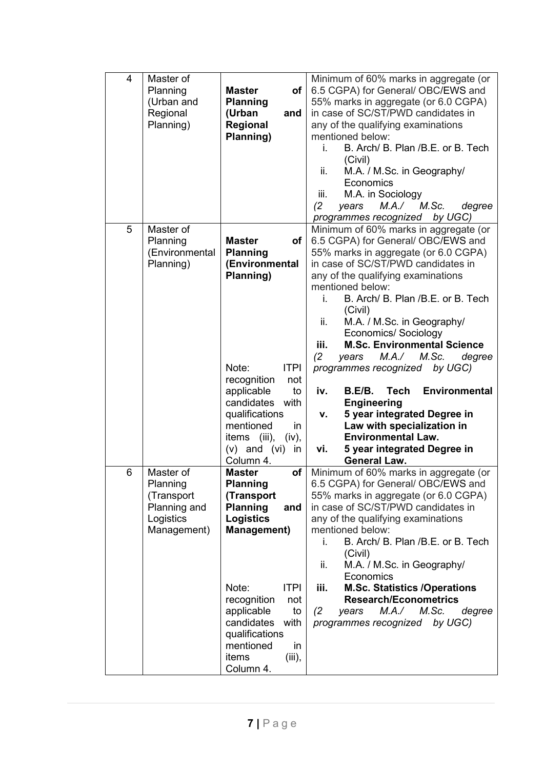| $\overline{4}$ | Master of<br>Planning<br>(Urban and<br>Regional<br>Planning)                    | of<br><b>Master</b><br><b>Planning</b><br>(Urban<br>and<br>Regional<br>Planning)                                                                                                                                                                                                      | Minimum of 60% marks in aggregate (or<br>6.5 CGPA) for General/ OBC/EWS and<br>55% marks in aggregate (or 6.0 CGPA)<br>in case of SC/ST/PWD candidates in<br>any of the qualifying examinations<br>mentioned below:<br>B. Arch/ B. Plan / B.E. or B. Tech<br>i.<br>(Civil)<br>ii.<br>M.A. / M.Sc. in Geography/<br>Economics<br>M.A. in Sociology<br>iii.<br>(2)<br>M.Sc.<br>M.A./<br>degree<br>years<br>programmes recognized by UGC)                                                                                                                                                                                                                                                                               |
|----------------|---------------------------------------------------------------------------------|---------------------------------------------------------------------------------------------------------------------------------------------------------------------------------------------------------------------------------------------------------------------------------------|----------------------------------------------------------------------------------------------------------------------------------------------------------------------------------------------------------------------------------------------------------------------------------------------------------------------------------------------------------------------------------------------------------------------------------------------------------------------------------------------------------------------------------------------------------------------------------------------------------------------------------------------------------------------------------------------------------------------|
| 5              | Master of<br>Planning<br>(Environmental<br>Planning)                            | <b>Master</b><br>of<br><b>Planning</b><br>(Environmental<br>Planning)<br><b>ITPI</b><br>Note:<br>recognition<br>not<br>applicable<br>to<br>candidates with<br>qualifications<br>mentioned<br>in<br>items (iii),<br>(iv),<br>$(v)$ and $(vi)$<br>in<br>Column 4.                       | Minimum of 60% marks in aggregate (or<br>6.5 CGPA) for General/ OBC/EWS and<br>55% marks in aggregate (or 6.0 CGPA)<br>in case of SC/ST/PWD candidates in<br>any of the qualifying examinations<br>mentioned below:<br>B. Arch/ B. Plan / B.E. or B. Tech<br>i.<br>(Civil)<br>ii.<br>M.A. / M.Sc. in Geography/<br><b>Economics/ Sociology</b><br><b>M.Sc. Environmental Science</b><br>iii.<br>(2)<br>M.A./<br>M.Sc.<br>years<br>degree<br>programmes recognized by UGC)<br><b>Environmental</b><br><b>Tech</b><br>iv.<br>B.E/B.<br><b>Engineering</b><br>5 year integrated Degree in<br>v.<br>Law with specialization in<br><b>Environmental Law.</b><br>5 year integrated Degree in<br>vi.<br><b>General Law.</b> |
| 6              | Master of<br>Planning<br>(Transport<br>Planning and<br>Logistics<br>Management) | оf<br><b>Master</b><br><b>Planning</b><br>(Transport<br><b>Planning</b><br>and<br><b>Logistics</b><br><b>Management)</b><br><b>ITPI</b><br>Note:<br>recognition<br>not<br>applicable<br>to<br>candidates<br>with<br>qualifications<br>mentioned<br>in<br>items<br>(iii),<br>Column 4. | Minimum of 60% marks in aggregate (or<br>6.5 CGPA) for General/ OBC/EWS and<br>55% marks in aggregate (or 6.0 CGPA)<br>in case of SC/ST/PWD candidates in<br>any of the qualifying examinations<br>mentioned below:<br>B. Arch/ B. Plan / B.E. or B. Tech<br>İ.<br>(Civil)<br>M.A. / M.Sc. in Geography/<br>ii.<br>Economics<br><b>M.Sc. Statistics /Operations</b><br>iii.<br><b>Research/Econometrics</b><br>M.Sc.<br>degree<br>(2)<br>M.A./<br>years<br>programmes recognized by UGC)                                                                                                                                                                                                                             |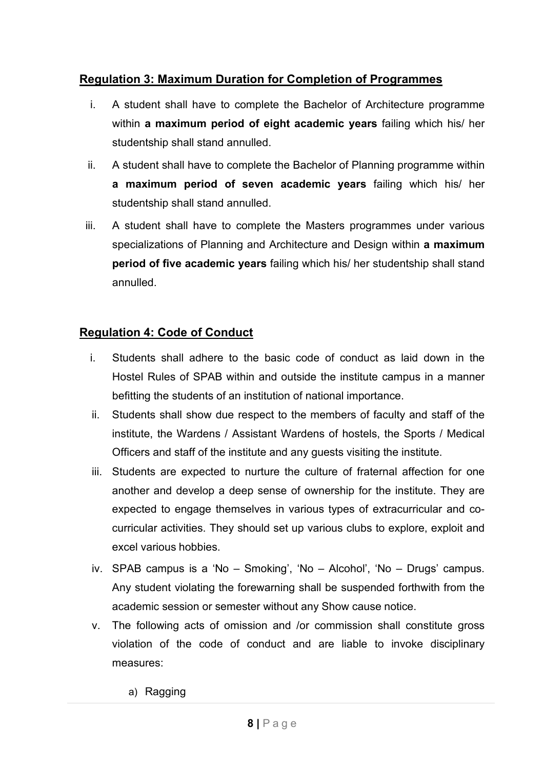# **Regulation 3: Maximum Duration for Completion of Programmes**

- i. A student shall have to complete the Bachelor of Architecture programme within **a maximum period of eight academic years** failing which his/ her studentship shall stand annulled.
- ii. A student shall have to complete the Bachelor of Planning programme within **a maximum period of seven academic years** failing which his/ her studentship shall stand annulled.
- iii. A student shall have to complete the Masters programmes under various specializations of Planning and Architecture and Design within **a maximum period of five academic years** failing which his/ her studentship shall stand annulled.

# **Regulation 4: Code of Conduct**

- i. Students shall adhere to the basic code of conduct as laid down in the Hostel Rules of SPAB within and outside the institute campus in a manner befitting the students of an institution of national importance.
- ii. Students shall show due respect to the members of faculty and staff of the institute, the Wardens / Assistant Wardens of hostels, the Sports / Medical Officers and staff of the institute and any guests visiting the institute.
- iii. Students are expected to nurture the culture of fraternal affection for one another and develop a deep sense of ownership for the institute. They are expected to engage themselves in various types of extracurricular and cocurricular activities. They should set up various clubs to explore, exploit and excel various hobbies.
- iv. SPAB campus is a 'No Smoking', 'No Alcohol', 'No Drugs' campus. Any student violating the forewarning shall be suspended forthwith from the academic session or semester without any Show cause notice.
- v. The following acts of omission and /or commission shall constitute gross violation of the code of conduct and are liable to invoke disciplinary measures:
	- a) Ragging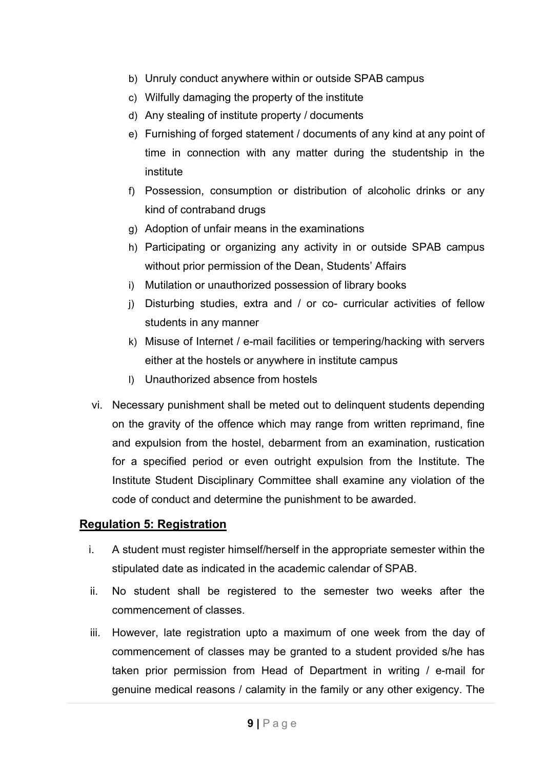- b) Unruly conduct anywhere within or outside SPAB campus
- c) Wilfully damaging the property of the institute
- d) Any stealing of institute property / documents
- e) Furnishing of forged statement / documents of any kind at any point of time in connection with any matter during the studentship in the institute
- f) Possession, consumption or distribution of alcoholic drinks or any kind of contraband drugs
- g) Adoption of unfair means in the examinations
- h) Participating or organizing any activity in or outside SPAB campus without prior permission of the Dean, Students' Affairs
- i) Mutilation or unauthorized possession of library books
- j) Disturbing studies, extra and / or co- curricular activities of fellow students in any manner
- k) Misuse of Internet / e-mail facilities or tempering/hacking with servers either at the hostels or anywhere in institute campus
- l) Unauthorized absence from hostels
- vi. Necessary punishment shall be meted out to delinquent students depending on the gravity of the offence which may range from written reprimand, fine and expulsion from the hostel, debarment from an examination, rustication for a specified period or even outright expulsion from the Institute. The Institute Student Disciplinary Committee shall examine any violation of the code of conduct and determine the punishment to be awarded.

# **Regulation 5: Registration**

- i. A student must register himself/herself in the appropriate semester within the stipulated date as indicated in the academic calendar of SPAB.
- ii. No student shall be registered to the semester two weeks after the commencement of classes.
- iii. However, late registration upto a maximum of one week from the day of commencement of classes may be granted to a student provided s/he has taken prior permission from Head of Department in writing / e-mail for genuine medical reasons / calamity in the family or any other exigency. The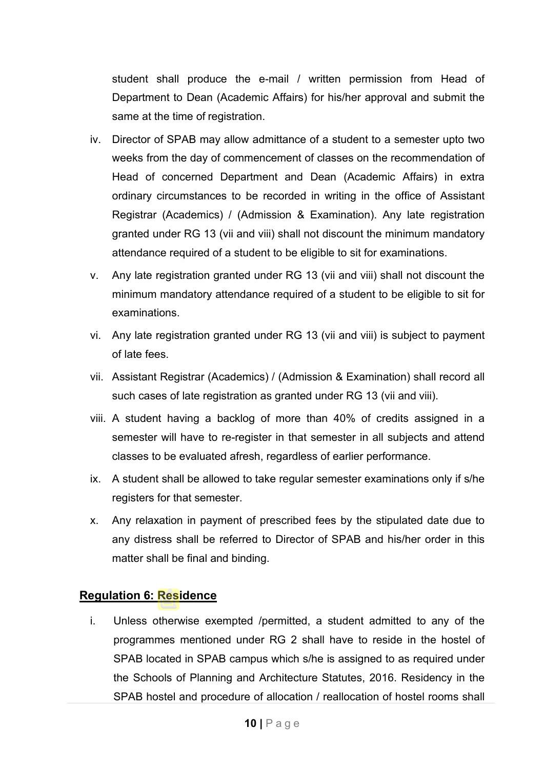student shall produce the e-mail / written permission from Head of Department to Dean (Academic Affairs) for his/her approval and submit the same at the time of registration.

- iv. Director of SPAB may allow admittance of a student to a semester upto two weeks from the day of commencement of classes on the recommendation of Head of concerned Department and Dean (Academic Affairs) in extra ordinary circumstances to be recorded in writing in the office of Assistant Registrar (Academics) / (Admission & Examination). Any late registration granted under RG 13 (vii and viii) shall not discount the minimum mandatory attendance required of a student to be eligible to sit for examinations.
- v. Any late registration granted under RG 13 (vii and viii) shall not discount the minimum mandatory attendance required of a student to be eligible to sit for examinations.
- vi. Any late registration granted under RG 13 (vii and viii) is subject to payment of late fees.
- vii. Assistant Registrar (Academics) / (Admission & Examination) shall record all such cases of late registration as granted under RG 13 (vii and viii).
- viii. A student having a backlog of more than 40% of credits assigned in a semester will have to re-register in that semester in all subjects and attend classes to be evaluated afresh, regardless of earlier performance.
- ix. A student shall be allowed to take regular semester examinations only if s/he registers for that semester.
- x. Any relaxation in payment of prescribed fees by the stipulated date due to any distress shall be referred to Director of SPAB and his/her order in this matter shall be final and binding.

### **Regulation 6: Residence**

i. Unless otherwise exempted /permitted, a student admitted to any of the programmes mentioned under RG 2 shall have to reside in the hostel of SPAB located in SPAB campus which s/he is assigned to as required under the Schools of Planning and Architecture Statutes, 2016. Residency in the SPAB hostel and procedure of allocation / reallocation of hostel rooms shall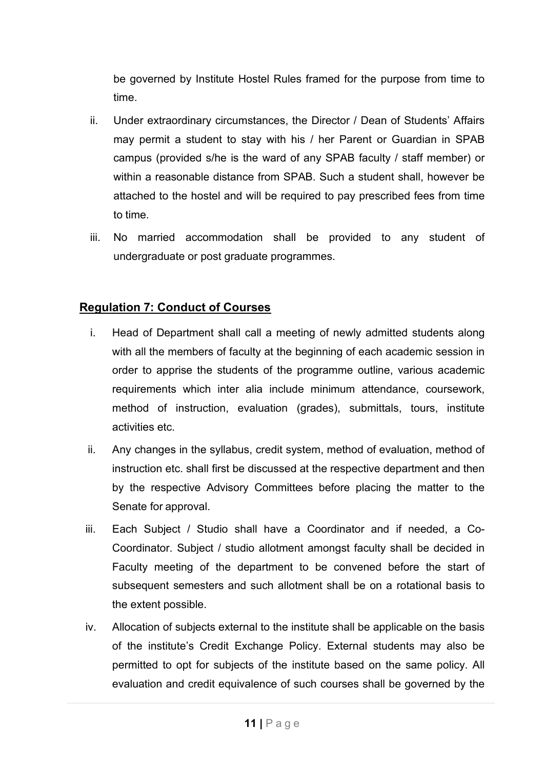be governed by Institute Hostel Rules framed for the purpose from time to time.

- ii. Under extraordinary circumstances, the Director / Dean of Students' Affairs may permit a student to stay with his / her Parent or Guardian in SPAB campus (provided s/he is the ward of any SPAB faculty / staff member) or within a reasonable distance from SPAB. Such a student shall, however be attached to the hostel and will be required to pay prescribed fees from time to time.
- iii. No married accommodation shall be provided to any student of undergraduate or post graduate programmes.

# **Regulation 7: Conduct of Courses**

- i. Head of Department shall call a meeting of newly admitted students along with all the members of faculty at the beginning of each academic session in order to apprise the students of the programme outline, various academic requirements which inter alia include minimum attendance, coursework, method of instruction, evaluation (grades), submittals, tours, institute activities etc.
- ii. Any changes in the syllabus, credit system, method of evaluation, method of instruction etc. shall first be discussed at the respective department and then by the respective Advisory Committees before placing the matter to the Senate for approval.
- iii. Each Subject / Studio shall have a Coordinator and if needed, a Co-Coordinator. Subject / studio allotment amongst faculty shall be decided in Faculty meeting of the department to be convened before the start of subsequent semesters and such allotment shall be on a rotational basis to the extent possible.
- iv. Allocation of subjects external to the institute shall be applicable on the basis of the institute's Credit Exchange Policy. External students may also be permitted to opt for subjects of the institute based on the same policy. All evaluation and credit equivalence of such courses shall be governed by the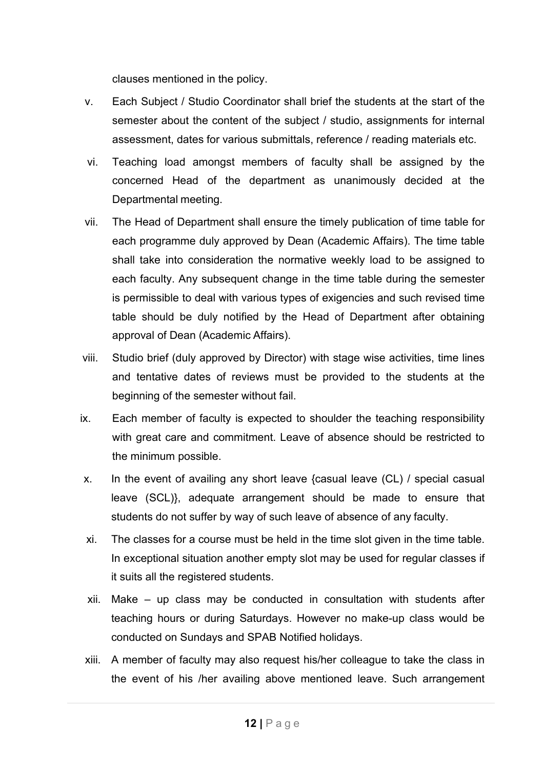clauses mentioned in the policy.

- v. Each Subject / Studio Coordinator shall brief the students at the start of the semester about the content of the subject / studio, assignments for internal assessment, dates for various submittals, reference / reading materials etc.
- vi. Teaching load amongst members of faculty shall be assigned by the concerned Head of the department as unanimously decided at the Departmental meeting.
- vii. The Head of Department shall ensure the timely publication of time table for each programme duly approved by Dean (Academic Affairs). The time table shall take into consideration the normative weekly load to be assigned to each faculty. Any subsequent change in the time table during the semester is permissible to deal with various types of exigencies and such revised time table should be duly notified by the Head of Department after obtaining approval of Dean (Academic Affairs).
- viii. Studio brief (duly approved by Director) with stage wise activities, time lines and tentative dates of reviews must be provided to the students at the beginning of the semester without fail.
- ix. Each member of faculty is expected to shoulder the teaching responsibility with great care and commitment. Leave of absence should be restricted to the minimum possible.
- x. In the event of availing any short leave {casual leave (CL) / special casual leave (SCL)}, adequate arrangement should be made to ensure that students do not suffer by way of such leave of absence of any faculty.
- xi. The classes for a course must be held in the time slot given in the time table. In exceptional situation another empty slot may be used for regular classes if it suits all the registered students.
- xii. Make up class may be conducted in consultation with students after teaching hours or during Saturdays. However no make-up class would be conducted on Sundays and SPAB Notified holidays.
- xiii. A member of faculty may also request his/her colleague to take the class in the event of his /her availing above mentioned leave. Such arrangement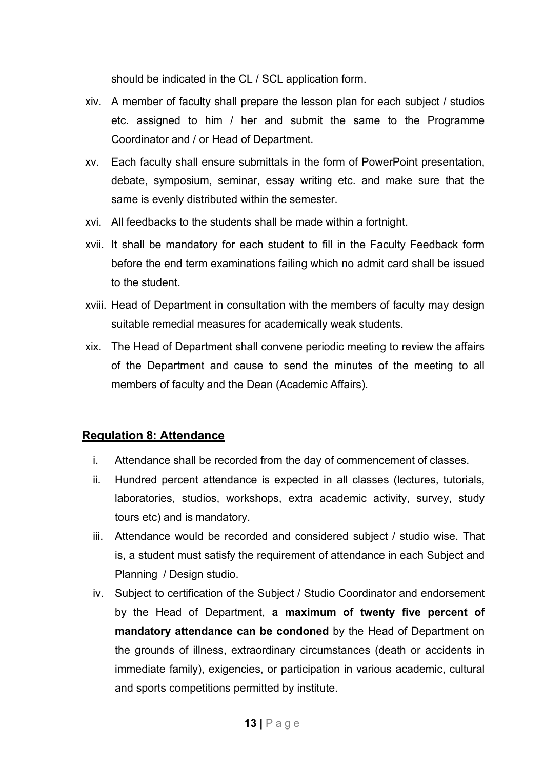should be indicated in the CL / SCL application form.

- xiv. A member of faculty shall prepare the lesson plan for each subject / studios etc. assigned to him / her and submit the same to the Programme Coordinator and / or Head of Department.
- xv. Each faculty shall ensure submittals in the form of PowerPoint presentation, debate, symposium, seminar, essay writing etc. and make sure that the same is evenly distributed within the semester.
- xvi. All feedbacks to the students shall be made within a fortnight.
- xvii. It shall be mandatory for each student to fill in the Faculty Feedback form before the end term examinations failing which no admit card shall be issued to the student.
- xviii. Head of Department in consultation with the members of faculty may design suitable remedial measures for academically weak students.
- xix. The Head of Department shall convene periodic meeting to review the affairs of the Department and cause to send the minutes of the meeting to all members of faculty and the Dean (Academic Affairs).

# **Regulation 8: Attendance**

- i. Attendance shall be recorded from the day of commencement of classes.
- ii. Hundred percent attendance is expected in all classes (lectures, tutorials, laboratories, studios, workshops, extra academic activity, survey, study tours etc) and is mandatory.
- iii. Attendance would be recorded and considered subject / studio wise. That is, a student must satisfy the requirement of attendance in each Subject and Planning / Design studio.
- iv. Subject to certification of the Subject / Studio Coordinator and endorsement by the Head of Department, **a maximum of twenty five percent of mandatory attendance can be condoned** by the Head of Department on the grounds of illness, extraordinary circumstances (death or accidents in immediate family), exigencies, or participation in various academic, cultural and sports competitions permitted by institute.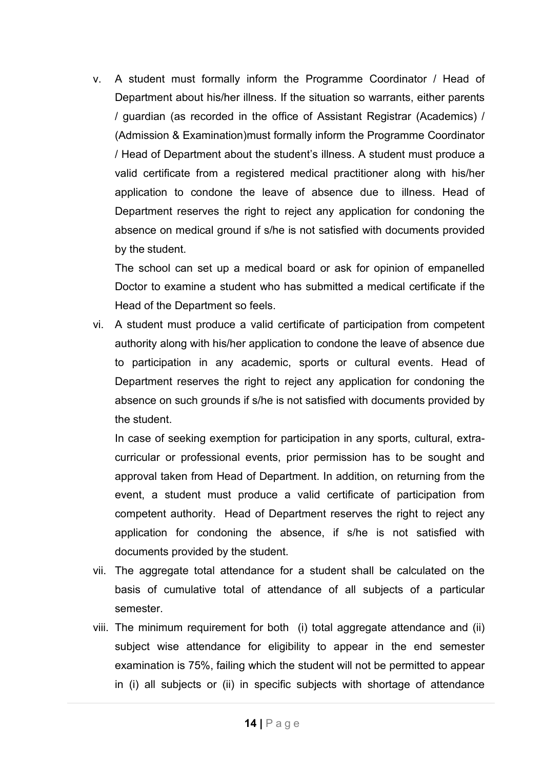v. A student must formally inform the Programme Coordinator / Head of Department about his/her illness. If the situation so warrants, either parents / guardian (as recorded in the office of Assistant Registrar (Academics) / (Admission & Examination)must formally inform the Programme Coordinator / Head of Department about the student's illness. A student must produce a valid certificate from a registered medical practitioner along with his/her application to condone the leave of absence due to illness. Head of Department reserves the right to reject any application for condoning the absence on medical ground if s/he is not satisfied with documents provided by the student.

The school can set up a medical board or ask for opinion of empanelled Doctor to examine a student who has submitted a medical certificate if the Head of the Department so feels.

vi. A student must produce a valid certificate of participation from competent authority along with his/her application to condone the leave of absence due to participation in any academic, sports or cultural events. Head of Department reserves the right to reject any application for condoning the absence on such grounds if s/he is not satisfied with documents provided by the student.

In case of seeking exemption for participation in any sports, cultural, extracurricular or professional events, prior permission has to be sought and approval taken from Head of Department. In addition, on returning from the event, a student must produce a valid certificate of participation from competent authority. Head of Department reserves the right to reject any application for condoning the absence, if s/he is not satisfied with documents provided by the student.

- vii. The aggregate total attendance for a student shall be calculated on the basis of cumulative total of attendance of all subjects of a particular semester.
- viii. The minimum requirement for both (i) total aggregate attendance and (ii) subject wise attendance for eligibility to appear in the end semester examination is 75%, failing which the student will not be permitted to appear in (i) all subjects or (ii) in specific subjects with shortage of attendance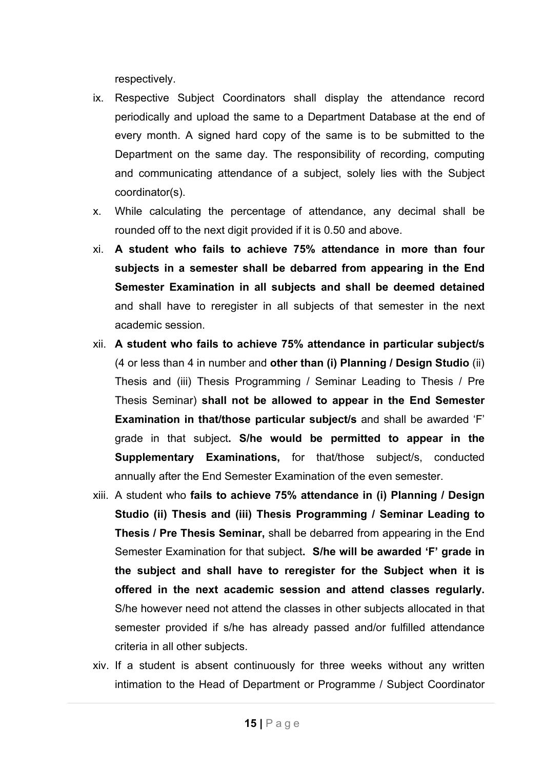respectively.

- ix. Respective Subject Coordinators shall display the attendance record periodically and upload the same to a Department Database at the end of every month. A signed hard copy of the same is to be submitted to the Department on the same day. The responsibility of recording, computing and communicating attendance of a subject, solely lies with the Subject coordinator(s).
- x. While calculating the percentage of attendance, any decimal shall be rounded off to the next digit provided if it is 0.50 and above.
- xi. **A student who fails to achieve 75% attendance in more than four subjects in a semester shall be debarred from appearing in the End Semester Examination in all subjects and shall be deemed detained** and shall have to reregister in all subjects of that semester in the next academic session.
- xii. **A student who fails to achieve 75% attendance in particular subject/s** (4 or less than 4 in number and **other than (i) Planning / Design Studio** (ii) Thesis and (iii) Thesis Programming / Seminar Leading to Thesis / Pre Thesis Seminar) **shall not be allowed to appear in the End Semester Examination in that/those particular subject/s** and shall be awarded 'F' grade in that subject**. S/he would be permitted to appear in the Supplementary Examinations,** for that/those subject/s, conducted annually after the End Semester Examination of the even semester.
- xiii. A student who **fails to achieve 75% attendance in (i) Planning / Design Studio (ii) Thesis and (iii) Thesis Programming / Seminar Leading to Thesis / Pre Thesis Seminar,** shall be debarred from appearing in the End Semester Examination for that subject**. S/he will be awarded 'F' grade in the subject and shall have to reregister for the Subject when it is offered in the next academic session and attend classes regularly.** S/he however need not attend the classes in other subjects allocated in that semester provided if s/he has already passed and/or fulfilled attendance criteria in all other subjects.
- xiv. If a student is absent continuously for three weeks without any written intimation to the Head of Department or Programme / Subject Coordinator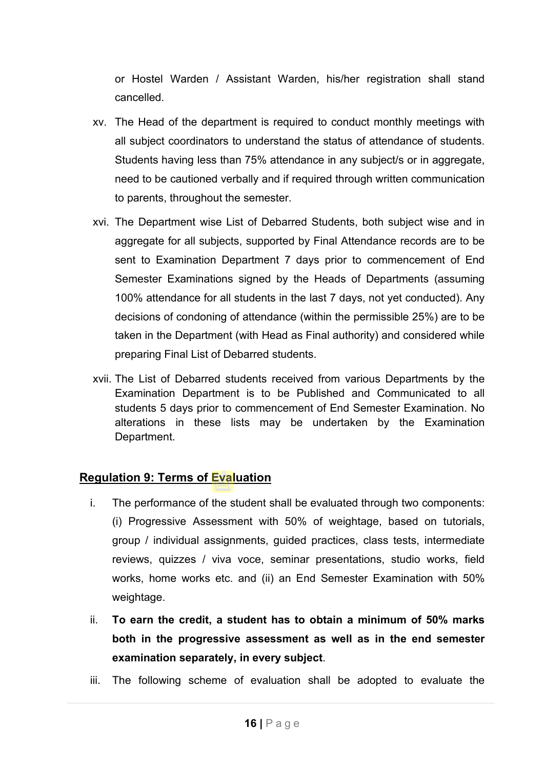or Hostel Warden / Assistant Warden, his/her registration shall stand cancelled.

- xv. The Head of the department is required to conduct monthly meetings with all subject coordinators to understand the status of attendance of students. Students having less than 75% attendance in any subject/s or in aggregate, need to be cautioned verbally and if required through written communication to parents, throughout the semester.
- xvi. The Department wise List of Debarred Students, both subject wise and in aggregate for all subjects, supported by Final Attendance records are to be sent to Examination Department 7 days prior to commencement of End Semester Examinations signed by the Heads of Departments (assuming 100% attendance for all students in the last 7 days, not yet conducted). Any decisions of condoning of attendance (within the permissible 25%) are to be taken in the Department (with Head as Final authority) and considered while preparing Final List of Debarred students.
- xvii. The List of Debarred students received from various Departments by the Examination Department is to be Published and Communicated to all students 5 days prior to commencement of End Semester Examination. No alterations in these lists may be undertaken by the Examination Department.

### **Regulation 9: Terms of Evaluation**

- i. The performance of the student shall be evaluated through two components: (i) Progressive Assessment with 50% of weightage, based on tutorials, group / individual assignments, guided practices, class tests, intermediate reviews, quizzes / viva voce, seminar presentations, studio works, field works, home works etc. and (ii) an End Semester Examination with 50% weightage.
- ii. **To earn the credit, a student has to obtain a minimum of 50% marks both in the progressive assessment as well as in the end semester examination separately, in every subject**.
- iii. The following scheme of evaluation shall be adopted to evaluate the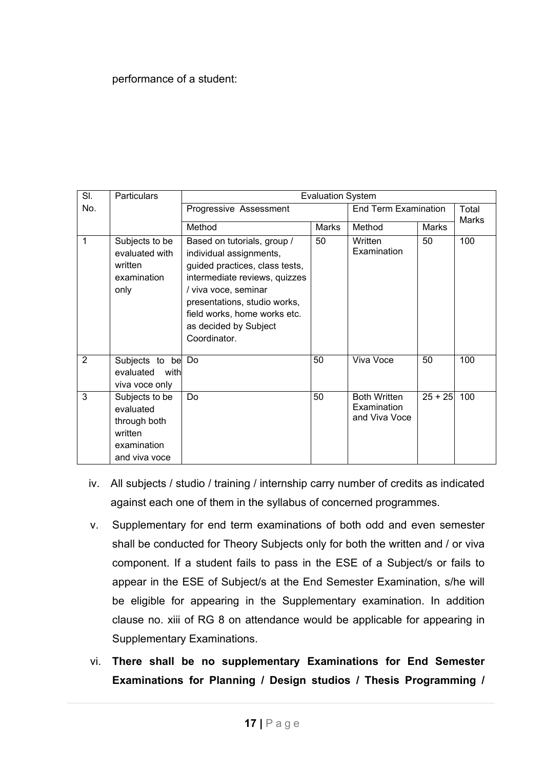### performance of a student:

| SI. | <b>Particulars</b>                                                                     |                                                                                                                                                                                                                                                            | <b>Evaluation System</b> |                                                     |           |                       |
|-----|----------------------------------------------------------------------------------------|------------------------------------------------------------------------------------------------------------------------------------------------------------------------------------------------------------------------------------------------------------|--------------------------|-----------------------------------------------------|-----------|-----------------------|
| No. |                                                                                        | Progressive Assessment                                                                                                                                                                                                                                     |                          | <b>End Term Examination</b>                         |           | Total<br><b>Marks</b> |
|     |                                                                                        | Method                                                                                                                                                                                                                                                     | Marks                    | Method                                              | Marks     |                       |
| 1   | Subjects to be<br>evaluated with<br>written<br>examination<br>only                     | Based on tutorials, group /<br>individual assignments,<br>guided practices, class tests,<br>intermediate reviews, quizzes<br>/ viva voce, seminar<br>presentations, studio works,<br>field works, home works etc.<br>as decided by Subject<br>Coordinator. | 50                       | Written<br>Examination                              | 50        | 100                   |
| 2   | Subjects to be<br>evaluated<br>with<br>viva voce only                                  | Do                                                                                                                                                                                                                                                         | 50                       | Viva Voce                                           | 50        | 100                   |
| 3   | Subjects to be<br>evaluated<br>through both<br>written<br>examination<br>and viva voce | Do                                                                                                                                                                                                                                                         | 50                       | <b>Both Written</b><br>Examination<br>and Viva Voce | $25 + 25$ | 100                   |

- iv. All subjects / studio / training / internship carry number of credits as indicated against each one of them in the syllabus of concerned programmes.
- v. Supplementary for end term examinations of both odd and even semester shall be conducted for Theory Subjects only for both the written and / or viva component. If a student fails to pass in the ESE of a Subject/s or fails to appear in the ESE of Subject/s at the End Semester Examination, s/he will be eligible for appearing in the Supplementary examination. In addition clause no. xiii of RG 8 on attendance would be applicable for appearing in Supplementary Examinations.
- vi. **There shall be no supplementary Examinations for End Semester Examinations for Planning / Design studios / Thesis Programming /**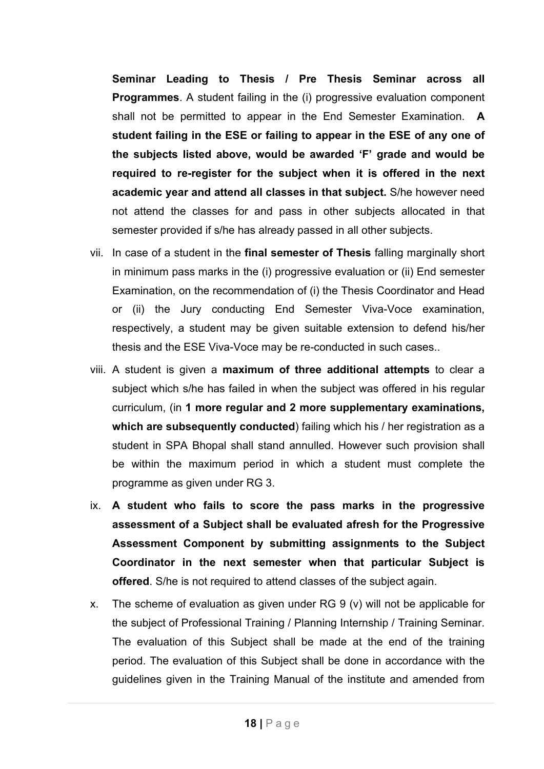**Seminar Leading to Thesis / Pre Thesis Seminar across all Programmes**. A student failing in the (i) progressive evaluation component shall not be permitted to appear in the End Semester Examination. **A student failing in the ESE or failing to appear in the ESE of any one of the subjects listed above, would be awarded 'F' grade and would be required to re-register for the subject when it is offered in the next academic year and attend all classes in that subject.** S/he however need not attend the classes for and pass in other subjects allocated in that semester provided if s/he has already passed in all other subjects.

- vii. In case of a student in the **final semester of Thesis** falling marginally short in minimum pass marks in the (i) progressive evaluation or (ii) End semester Examination, on the recommendation of (i) the Thesis Coordinator and Head or (ii) the Jury conducting End Semester Viva-Voce examination, respectively, a student may be given suitable extension to defend his/her thesis and the ESE Viva-Voce may be re-conducted in such cases..
- viii. A student is given a **maximum of three additional attempts** to clear a subject which s/he has failed in when the subject was offered in his regular curriculum, (in **1 more regular and 2 more supplementary examinations, which are subsequently conducted**) failing which his / her registration as a student in SPA Bhopal shall stand annulled. However such provision shall be within the maximum period in which a student must complete the programme as given under RG 3.
- ix. **A student who fails to score the pass marks in the progressive assessment of a Subject shall be evaluated afresh for the Progressive Assessment Component by submitting assignments to the Subject Coordinator in the next semester when that particular Subject is offered**. S/he is not required to attend classes of the subject again.
- x. The scheme of evaluation as given under RG 9 (v) will not be applicable for the subject of Professional Training / Planning Internship / Training Seminar. The evaluation of this Subject shall be made at the end of the training period. The evaluation of this Subject shall be done in accordance with the guidelines given in the Training Manual of the institute and amended from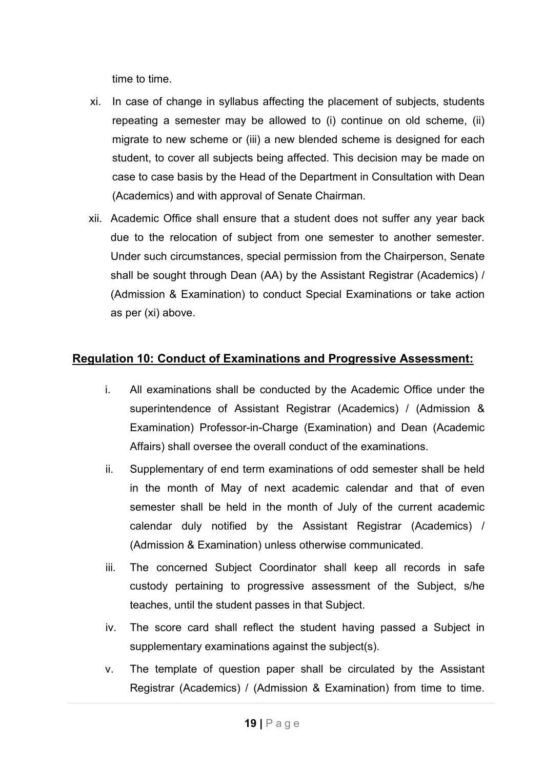time to time.

- xi. In case of change in syllabus affecting the placement of subjects, students repeating a semester may be allowed to (i) continue on old scheme, (ii) migrate to new scheme or (iii) a new blended scheme is designed for each student, to cover all subjects being affected. This decision may be made on case to case basis by the Head of the Department in Consultation with Dean (Academics) and with approval of Senate Chairman.
- xii. Academic Office shall ensure that a student does not suffer any year back due to the relocation of subject from one semester to another semester. Under such circumstances, special permission from the Chairperson, Senate shall be sought through Dean (AA) by the Assistant Registrar (Academics) / (Admission & Examination) to conduct Special Examinations or take action as per (xi) above.

### **Regulation 10: Conduct of Examinations and Progressive Assessment:**

- i. All examinations shall be conducted by the Academic Office under the superintendence of Assistant Registrar (Academics) / (Admission & Examination) Professor-in-Charge (Examination) and Dean (Academic Affairs) shall oversee the overall conduct of the examinations.
- ii. Supplementary of end term examinations of odd semester shall be held in the month of May of next academic calendar and that of even semester shall be held in the month of July of the current academic calendar duly notified by the Assistant Registrar (Academics) / (Admission & Examination) unless otherwise communicated.
- iii. The concerned Subject Coordinator shall keep all records in safe custody pertaining to progressive assessment of the Subject, s/he teaches, until the student passes in that Subject.
- iv. The score card shall reflect the student having passed a Subject in supplementary examinations against the subject(s).
- v. The template of question paper shall be circulated by the Assistant Registrar (Academics) / (Admission & Examination) from time to time.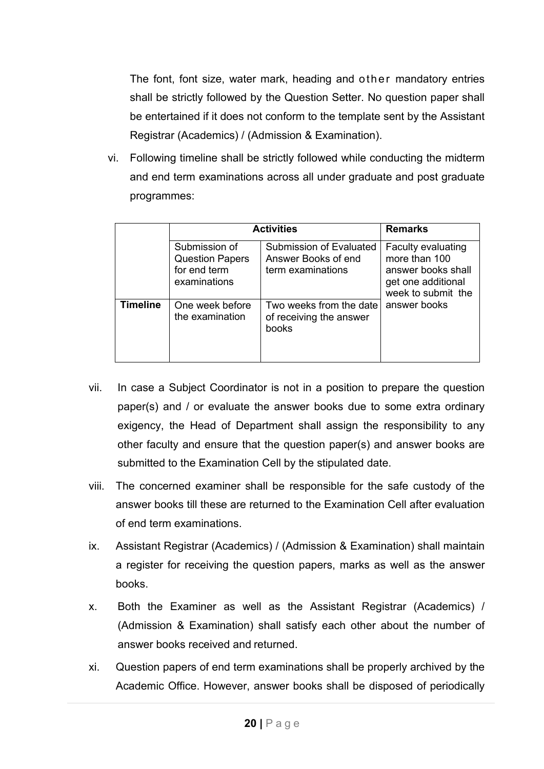The font, font size, water mark, heading and other mandatory entries shall be strictly followed by the Question Setter. No question paper shall be entertained if it does not conform to the template sent by the Assistant Registrar (Academics) / (Admission & Examination).

vi. Following timeline shall be strictly followed while conducting the midterm and end term examinations across all under graduate and post graduate programmes:

|                 |                                                                         | <b>Activities</b>                                                          |                                                                                                              |  |
|-----------------|-------------------------------------------------------------------------|----------------------------------------------------------------------------|--------------------------------------------------------------------------------------------------------------|--|
|                 | Submission of<br><b>Question Papers</b><br>for end term<br>examinations | <b>Submission of Evaluated</b><br>Answer Books of end<br>term examinations | <b>Faculty evaluating</b><br>more than 100<br>answer books shall<br>get one additional<br>week to submit the |  |
| <b>Timeline</b> | One week before<br>the examination                                      | Two weeks from the date<br>of receiving the answer<br>books                | answer books                                                                                                 |  |

- vii. In case a Subject Coordinator is not in a position to prepare the question paper(s) and / or evaluate the answer books due to some extra ordinary exigency, the Head of Department shall assign the responsibility to any other faculty and ensure that the question paper(s) and answer books are submitted to the Examination Cell by the stipulated date.
- viii. The concerned examiner shall be responsible for the safe custody of the answer books till these are returned to the Examination Cell after evaluation of end term examinations.
- ix. Assistant Registrar (Academics) / (Admission & Examination) shall maintain a register for receiving the question papers, marks as well as the answer books.
- x. Both the Examiner as well as the Assistant Registrar (Academics) / (Admission & Examination) shall satisfy each other about the number of answer books received and returned.
- xi. Question papers of end term examinations shall be properly archived by the Academic Office. However, answer books shall be disposed of periodically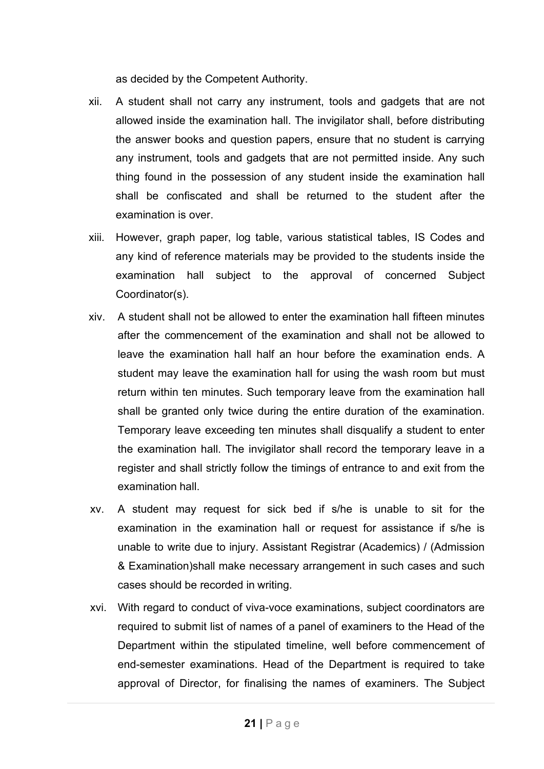as decided by the Competent Authority.

- xii. A student shall not carry any instrument, tools and gadgets that are not allowed inside the examination hall. The invigilator shall, before distributing the answer books and question papers, ensure that no student is carrying any instrument, tools and gadgets that are not permitted inside. Any such thing found in the possession of any student inside the examination hall shall be confiscated and shall be returned to the student after the examination is over.
- xiii. However, graph paper, log table, various statistical tables, IS Codes and any kind of reference materials may be provided to the students inside the examination hall subject to the approval of concerned Subject Coordinator(s).
- xiv. A student shall not be allowed to enter the examination hall fifteen minutes after the commencement of the examination and shall not be allowed to leave the examination hall half an hour before the examination ends. A student may leave the examination hall for using the wash room but must return within ten minutes. Such temporary leave from the examination hall shall be granted only twice during the entire duration of the examination. Temporary leave exceeding ten minutes shall disqualify a student to enter the examination hall. The invigilator shall record the temporary leave in a register and shall strictly follow the timings of entrance to and exit from the examination hall.
- xv. A student may request for sick bed if s/he is unable to sit for the examination in the examination hall or request for assistance if s/he is unable to write due to injury. Assistant Registrar (Academics) / (Admission & Examination)shall make necessary arrangement in such cases and such cases should be recorded in writing.
- xvi. With regard to conduct of viva-voce examinations, subject coordinators are required to submit list of names of a panel of examiners to the Head of the Department within the stipulated timeline, well before commencement of end-semester examinations. Head of the Department is required to take approval of Director, for finalising the names of examiners. The Subject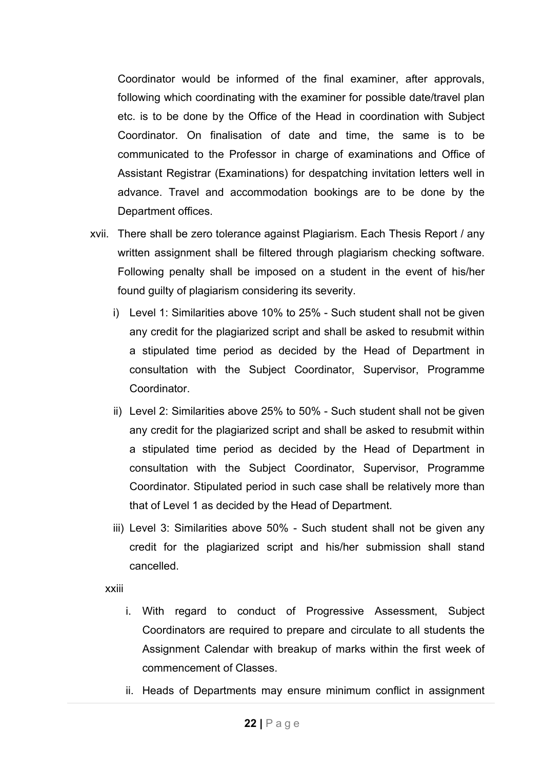Coordinator would be informed of the final examiner, after approvals, following which coordinating with the examiner for possible date/travel plan etc. is to be done by the Office of the Head in coordination with Subject Coordinator. On finalisation of date and time, the same is to be communicated to the Professor in charge of examinations and Office of Assistant Registrar (Examinations) for despatching invitation letters well in advance. Travel and accommodation bookings are to be done by the Department offices.

- xvii. There shall be zero tolerance against Plagiarism. Each Thesis Report / any written assignment shall be filtered through plagiarism checking software. Following penalty shall be imposed on a student in the event of his/her found guilty of plagiarism considering its severity.
	- i) Level 1: Similarities above 10% to 25% Such student shall not be given any credit for the plagiarized script and shall be asked to resubmit within a stipulated time period as decided by the Head of Department in consultation with the Subject Coordinator, Supervisor, Programme Coordinator.
	- ii) Level 2: Similarities above 25% to 50% Such student shall not be given any credit for the plagiarized script and shall be asked to resubmit within a stipulated time period as decided by the Head of Department in consultation with the Subject Coordinator, Supervisor, Programme Coordinator. Stipulated period in such case shall be relatively more than that of Level 1 as decided by the Head of Department.
	- iii) Level 3: Similarities above 50% Such student shall not be given any credit for the plagiarized script and his/her submission shall stand cancelled.

xxiii

- i. With regard to conduct of Progressive Assessment, Subject Coordinators are required to prepare and circulate to all students the Assignment Calendar with breakup of marks within the first week of commencement of Classes.
- ii. Heads of Departments may ensure minimum conflict in assignment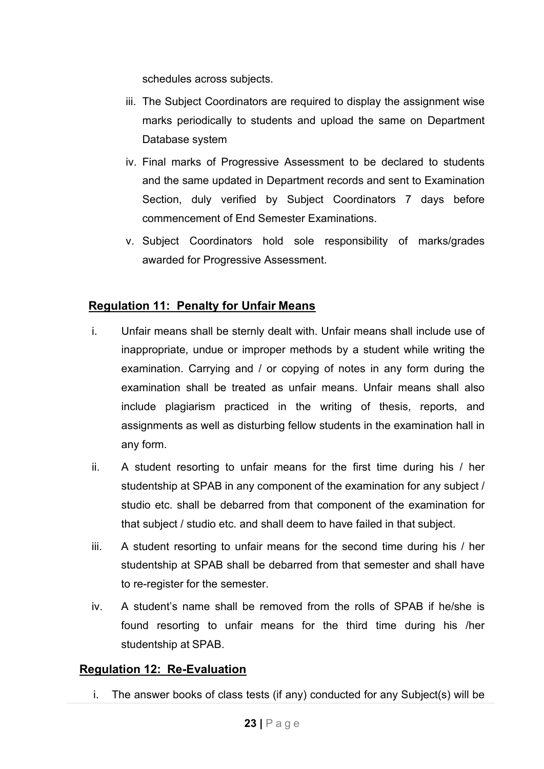schedules across subjects.

- iii. The Subject Coordinators are required to display the assignment wise marks periodically to students and upload the same on Department Database system
- iv. Final marks of Progressive Assessment to be declared to students and the same updated in Department records and sent to Examination Section, duly verified by Subject Coordinators 7 days before commencement of End Semester Examinations.
- v. Subject Coordinators hold sole responsibility of marks/grades awarded for Progressive Assessment.

# **Regulation 11: Penalty for Unfair Means**

- i. Unfair means shall be sternly dealt with. Unfair means shall include use of inappropriate, undue or improper methods by a student while writing the examination. Carrying and / or copying of notes in any form during the examination shall be treated as unfair means. Unfair means shall also include plagiarism practiced in the writing of thesis, reports, and assignments as well as disturbing fellow students in the examination hall in any form.
- ii. A student resorting to unfair means for the first time during his / her studentship at SPAB in any component of the examination for any subject / studio etc. shall be debarred from that component of the examination for that subject / studio etc. and shall deem to have failed in that subject.
- iii. A student resorting to unfair means for the second time during his / her studentship at SPAB shall be debarred from that semester and shall have to re-register for the semester.
- iv. A student's name shall be removed from the rolls of SPAB if he/she is found resorting to unfair means for the third time during his /her studentship at SPAB.

# **Regulation 12: Re-Evaluation**

i. The answer books of class tests (if any) conducted for any Subject(s) will be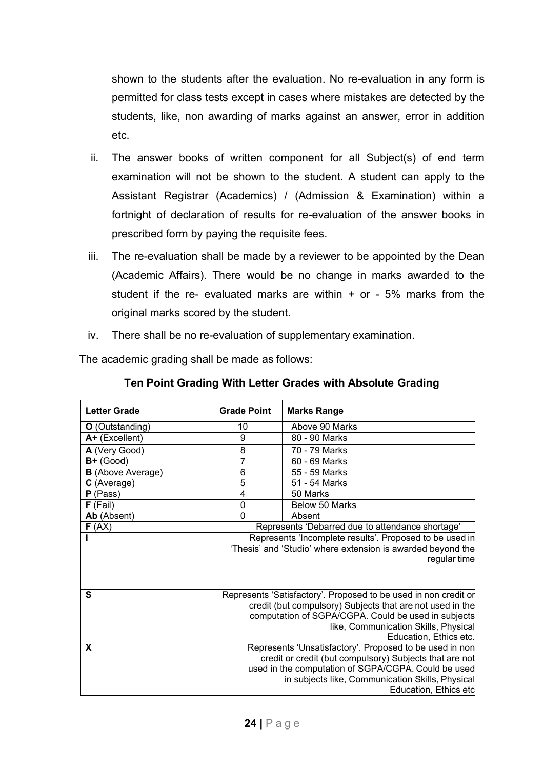shown to the students after the evaluation. No re-evaluation in any form is permitted for class tests except in cases where mistakes are detected by the students, like, non awarding of marks against an answer, error in addition etc.

- ii. The answer books of written component for all Subject(s) of end term examination will not be shown to the student. A student can apply to the Assistant Registrar (Academics) / (Admission & Examination) within a fortnight of declaration of results for re-evaluation of the answer books in prescribed form by paying the requisite fees.
- iii. The re-evaluation shall be made by a reviewer to be appointed by the Dean (Academic Affairs). There would be no change in marks awarded to the student if the re- evaluated marks are within  $+$  or - 5% marks from the original marks scored by the student.
- iv. There shall be no re-evaluation of supplementary examination.

The academic grading shall be made as follows:

| <b>Letter Grade</b>      | <b>Grade Point</b>                                                                                                                                                                                                                                    | <b>Marks Range</b>                                                                                                                                                                                                                                     |  |  |
|--------------------------|-------------------------------------------------------------------------------------------------------------------------------------------------------------------------------------------------------------------------------------------------------|--------------------------------------------------------------------------------------------------------------------------------------------------------------------------------------------------------------------------------------------------------|--|--|
| <b>O</b> (Outstanding)   | 10                                                                                                                                                                                                                                                    | Above 90 Marks                                                                                                                                                                                                                                         |  |  |
| A+ (Excellent)           | 9                                                                                                                                                                                                                                                     | 80 - 90 Marks                                                                                                                                                                                                                                          |  |  |
| A (Very Good)            | 8                                                                                                                                                                                                                                                     | 70 - 79 Marks                                                                                                                                                                                                                                          |  |  |
| $B+$ (Good)              | 7                                                                                                                                                                                                                                                     | 60 - 69 Marks                                                                                                                                                                                                                                          |  |  |
| <b>B</b> (Above Average) | 6                                                                                                                                                                                                                                                     | 55 - 59 Marks                                                                                                                                                                                                                                          |  |  |
| C (Average)              | $\overline{5}$                                                                                                                                                                                                                                        | 51 - 54 Marks                                                                                                                                                                                                                                          |  |  |
| (Pass)<br>P              | 4                                                                                                                                                                                                                                                     | 50 Marks                                                                                                                                                                                                                                               |  |  |
| (Fail)<br>F.             | 0                                                                                                                                                                                                                                                     | Below 50 Marks                                                                                                                                                                                                                                         |  |  |
| Ab (Absent)              | 0                                                                                                                                                                                                                                                     | Absent                                                                                                                                                                                                                                                 |  |  |
| F(AX)                    |                                                                                                                                                                                                                                                       | Represents 'Debarred due to attendance shortage'                                                                                                                                                                                                       |  |  |
|                          | Represents 'Incomplete results'. Proposed to be used in<br>'Thesis' and 'Studio' where extension is awarded beyond the<br>regular time                                                                                                                |                                                                                                                                                                                                                                                        |  |  |
| S                        | Represents 'Satisfactory'. Proposed to be used in non credit or<br>credit (but compulsory) Subjects that are not used in the<br>computation of SGPA/CGPA. Could be used in subjects<br>like, Communication Skills, Physical<br>Education, Ethics etc. |                                                                                                                                                                                                                                                        |  |  |
| X                        |                                                                                                                                                                                                                                                       | Represents 'Unsatisfactory'. Proposed to be used in non<br>credit or credit (but compulsory) Subjects that are not<br>used in the computation of SGPA/CGPA. Could be used<br>in subjects like, Communication Skills, Physical<br>Education, Ethics etc |  |  |

### **Ten Point Grading With Letter Grades with Absolute Grading**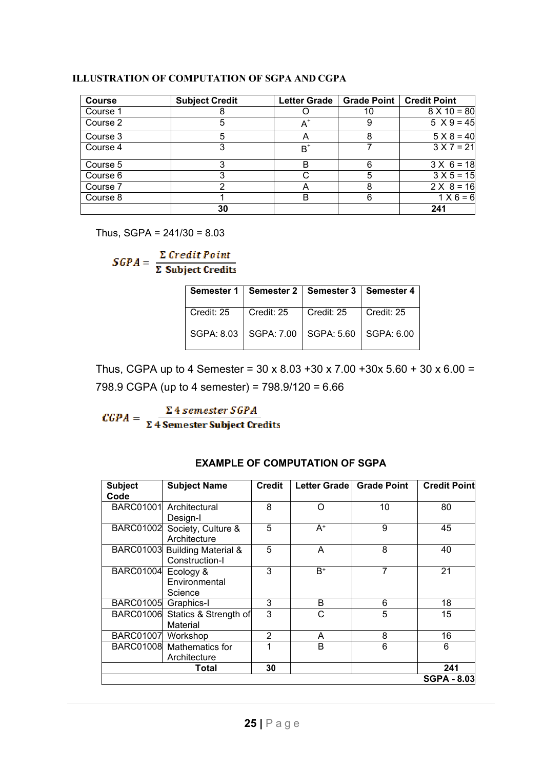#### **ILLUSTRATION OF COMPUTATION OF SGPA AND CGPA**

| <b>Course</b> | <b>Subject Credit</b> | <b>Letter Grade</b> |    | Grade Point   Credit Point |
|---------------|-----------------------|---------------------|----|----------------------------|
| Course 1      |                       |                     | 10 | $8 X 10 = 80$              |
| Course 2      |                       | $A^*$               | 9  | $5 X 9 = 45$               |
| Course 3      | 5                     | А                   | 8  | $5 X 8 = 40$               |
| Course 4      |                       | $B^{\dagger}$       |    | $3 X 7 = 21$               |
| Course 5      |                       | в                   | 6  | $3 \times 6 = 18$          |
| Course 6      |                       |                     | 5  | $3 X 5 = 15$               |
| Course 7      | ⌒                     | Α                   | 8  | $2 \times 8 = 16$          |
| Course 8      |                       | в                   | 6  | $1 X 6 = 6$                |
|               | 30                    |                     |    | 241                        |

Thus,  $SGPA = 241/30 = 8.03$ 

 $SGPA = \frac{\sum Credit Point}{\sum Subject Credits}$ 

|            | Semester 1   Semester 2   Semester 3   Semester 4 |                    |            |
|------------|---------------------------------------------------|--------------------|------------|
| Credit: 25 | Credit: 25                                        | $\vert$ Credit: 25 | Credit: 25 |
|            | SGPA: 8.03   SGPA: 7.00   SGPA: 5.60   SGPA: 6.00 |                    |            |

Thus, CGPA up to 4 Semester = 30 x 8.03 +30 x 7.00 +30x 5.60 + 30 x 6.00 = 798.9 CGPA (up to 4 semester) = 798.9/120 = 6.66

 $\textit{CGPA} = \frac{\Sigma \text{ 4 semester SGPA}}{\Sigma \text{ 4 semester Subject Credits}}$ 

| <b>Subject</b>      | <b>Subject Name</b>             | <b>Credit</b>  | Letter Grade   | <b>Grade Point</b> | <b>Credit Point</b> |
|---------------------|---------------------------------|----------------|----------------|--------------------|---------------------|
| Code                |                                 |                |                |                    |                     |
|                     | BARC01001 Architectural         | 8              | ∩              | 10                 | 80                  |
|                     | Design-I                        |                |                |                    |                     |
|                     | BARC01002 Society, Culture &    | 5              | $\mathsf{A}^*$ | 9                  | 45                  |
|                     | Architecture                    |                |                |                    |                     |
|                     | BARC01003 Building Material &   | 5              | A              | 8                  | 40                  |
|                     | Construction-I                  |                |                |                    |                     |
| BARC01004 Ecology & |                                 | 3              | B <sup>+</sup> | 7                  | 21                  |
|                     | Environmental                   |                |                |                    |                     |
|                     | Science                         |                |                |                    |                     |
| <b>BARC01005</b>    | Graphics-I                      | 3              | B              | 6                  | 18                  |
|                     | BARC01006 Statics & Strength of | 3              | С              | 5                  | 15                  |
|                     | Material                        |                |                |                    |                     |
| BARC01007 Workshop  |                                 | $\overline{2}$ | A              | 8                  | 16                  |
|                     | BARC01008 Mathematics for       |                | B              | 6                  | 6                   |
|                     | Architecture                    |                |                |                    |                     |
|                     | <b>Total</b>                    | 30             |                |                    | 241                 |
|                     |                                 |                |                |                    | <b>SGPA - 8.03</b>  |

#### **EXAMPLE OF COMPUTATION OF SGPA**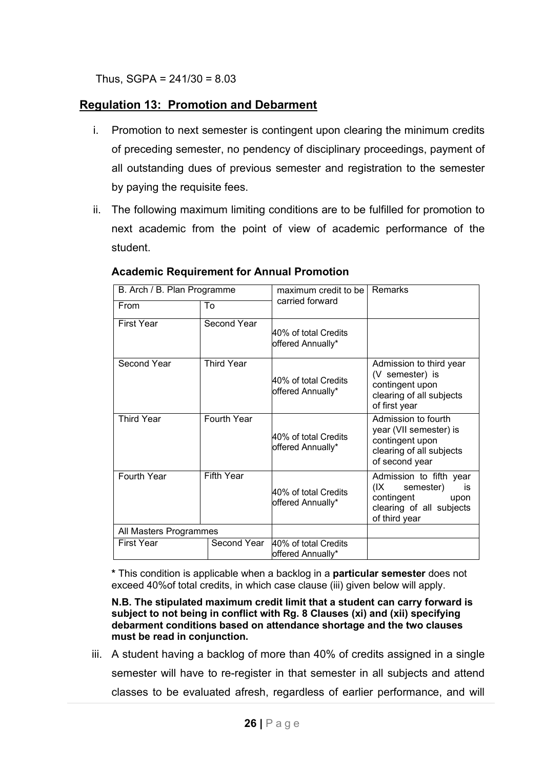Thus,  $SGPA = 241/30 = 8.03$ 

# **Regulation 13: Promotion and Debarment**

- i. Promotion to next semester is contingent upon clearing the minimum credits of preceding semester, no pendency of disciplinary proceedings, payment of all outstanding dues of previous semester and registration to the semester by paying the requisite fees.
- ii. The following maximum limiting conditions are to be fulfilled for promotion to next academic from the point of view of academic performance of the student.

| B. Arch / B. Plan Programme |                   | maximum credit to be                      | Remarks                                                                                                               |  |
|-----------------------------|-------------------|-------------------------------------------|-----------------------------------------------------------------------------------------------------------------------|--|
| From                        | To                | carried forward                           |                                                                                                                       |  |
| <b>First Year</b>           | Second Year       | 40% of total Credits<br>offered Annually* |                                                                                                                       |  |
| Second Year                 | <b>Third Year</b> | 40% of total Credits<br>offered Annually* | Admission to third year<br>(V semester) is<br>contingent upon<br>clearing of all subjects<br>of first year            |  |
| <b>Third Year</b>           | Fourth Year       | 40% of total Credits<br>offered Annually* | Admission to fourth<br>year (VII semester) is<br>contingent upon<br>clearing of all subjects<br>of second year        |  |
| Fourth Year                 | Fifth Year        | 40% of total Credits<br>offered Annually* | Admission to fifth year<br>semester)<br>(IX)<br>is<br>contingent<br>upon<br>clearing of all subjects<br>of third year |  |
| All Masters Programmes      |                   |                                           |                                                                                                                       |  |
| <b>First Year</b>           | Second Year       | 40% of total Credits<br>offered Annually* |                                                                                                                       |  |

# **Academic Requirement for Annual Promotion**

**\*** This condition is applicable when a backlog in a **particular semester** does not exceed 40%of total credits, in which case clause (iii) given below will apply.

**N.B. The stipulated maximum credit limit that a student can carry forward is subject to not being in conflict with Rg. 8 Clauses (xi) and (xii) specifying debarment conditions based on attendance shortage and the two clauses must be read in conjunction.**

iii. A student having a backlog of more than 40% of credits assigned in a single semester will have to re-register in that semester in all subjects and attend classes to be evaluated afresh, regardless of earlier performance, and will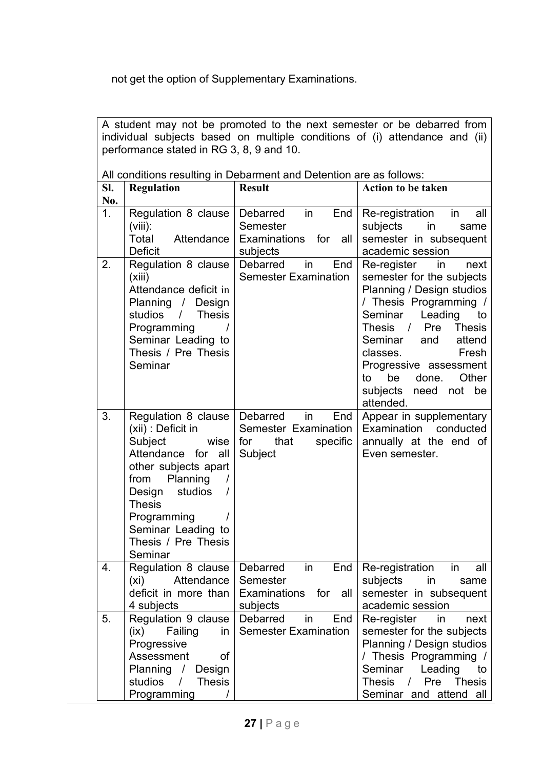not get the option of Supplementary Examinations.

|            | A student may not be promoted to the next semester or be debarred from<br>individual subjects based on multiple conditions of (i) attendance and (ii)<br>performance stated in RG 3, 8, 9 and 10.                                              |                                                                                     |                                                                                                                                                                                                                                                                                                                   |  |  |  |  |
|------------|------------------------------------------------------------------------------------------------------------------------------------------------------------------------------------------------------------------------------------------------|-------------------------------------------------------------------------------------|-------------------------------------------------------------------------------------------------------------------------------------------------------------------------------------------------------------------------------------------------------------------------------------------------------------------|--|--|--|--|
|            | All conditions resulting in Debarment and Detention are as follows:                                                                                                                                                                            |                                                                                     |                                                                                                                                                                                                                                                                                                                   |  |  |  |  |
| SI.<br>No. | <b>Regulation</b>                                                                                                                                                                                                                              | <b>Result</b>                                                                       | <b>Action to be taken</b>                                                                                                                                                                                                                                                                                         |  |  |  |  |
| 1.         | Regulation 8 clause   Debarred<br>$(viii)$ :<br>Total<br>Attendance<br><b>Deficit</b>                                                                                                                                                          | End<br>in<br>Semester<br>Examinations for<br>all<br>subjects                        | Re-registration<br>in<br>all<br>subjects<br>in<br>same<br>semester in subsequent<br>academic session                                                                                                                                                                                                              |  |  |  |  |
| 2.         | Regulation 8 clause<br>(xiii)<br>Attendance deficit in<br>Planning / Design<br>studios /<br><b>Thesis</b><br>Programming<br>Seminar Leading to<br>Thesis / Pre Thesis<br>Seminar                                                               | <b>Debarred</b><br>End<br>in<br><b>Semester Examination</b>                         | Re-register<br>in<br>next<br>semester for the subjects<br>Planning / Design studios<br>/ Thesis Programming /<br>Leading<br>Seminar<br>to<br>Thesis / Pre Thesis<br>Seminar<br>and<br>attend<br>classes.<br>Fresh<br>Progressive assessment<br>be<br>to<br>done.<br>Other<br>subjects<br>need not be<br>attended. |  |  |  |  |
| 3.         | Regulation 8 clause   Debarred<br>(xii) : Deficit in<br>Subject<br>Attendance for all<br>other subjects apart<br>Planning<br>from<br>studios<br>Design<br><b>Thesis</b><br>Programming<br>Seminar Leading to<br>Thesis / Pre Thesis<br>Seminar | End<br>in<br>Semester Examination<br>that<br>specific<br>wise $ $ for<br>Subject    | Appear in supplementary<br>Examination conducted<br>annually at the end of<br>Even semester.                                                                                                                                                                                                                      |  |  |  |  |
| 4.         | Regulation 8 clause  <br>(xi)<br>Attendance  <br>deficit in more than  <br>4 subjects                                                                                                                                                          | Debarred<br>End<br>$\mathsf{in}$<br>Semester<br>Examinations for<br>all<br>subjects | Re-registration in all<br>subjects<br>in in<br>same<br>semester in subsequent<br>academic session                                                                                                                                                                                                                 |  |  |  |  |
| 5.         | Regulation 9 clause  <br>Failing<br>(ix)<br>in<br>Progressive<br>Assessment<br>οf<br>Planning / Design<br>studios /<br><b>Thesis</b><br>Programming                                                                                            | in<br>End<br>Debarred<br><b>Semester Examination</b>                                | Re-register<br>in<br>next<br>semester for the subjects<br>Planning / Design studios<br>/ Thesis Programming /<br>Seminar<br>Leading<br>to<br><b>Thesis</b><br>Thesis / Pre<br>Seminar and attend all                                                                                                              |  |  |  |  |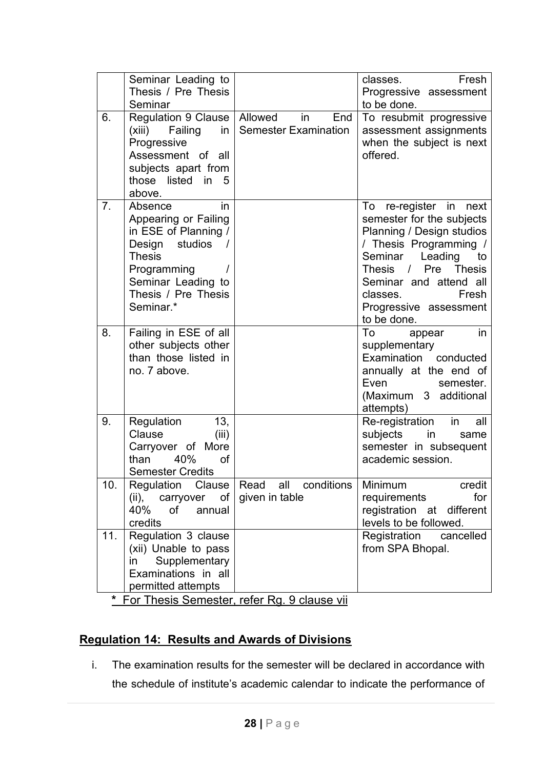|                | Seminar Leading to<br>Thesis / Pre Thesis<br>Seminar                                                                                                                                       |                                                     | Fresh<br>classes.<br>Progressive assessment<br>to be done.                                                                                                                                                                                                         |
|----------------|--------------------------------------------------------------------------------------------------------------------------------------------------------------------------------------------|-----------------------------------------------------|--------------------------------------------------------------------------------------------------------------------------------------------------------------------------------------------------------------------------------------------------------------------|
| 6.             | Regulation 9 Clause<br>Failing<br>(xiii)<br>in<br>Progressive<br>Assessment of all<br>subjects apart from<br>those listed in<br>5<br>above.                                                | Allowed<br>in<br>End<br><b>Semester Examination</b> | To resubmit progressive<br>assessment assignments<br>when the subject is next<br>offered.                                                                                                                                                                          |
| 7 <sub>1</sub> | in<br>Absence<br>Appearing or Failing<br>in ESE of Planning /<br>studios<br>Design<br>$\sqrt{ }$<br><b>Thesis</b><br>Programming<br>Seminar Leading to<br>Thesis / Pre Thesis<br>Seminar.* |                                                     | To<br>re-register in next<br>semester for the subjects<br>Planning / Design studios<br>/ Thesis Programming /<br>Leading<br>Seminar<br>to<br>Thesis / Pre<br><b>Thesis</b><br>Seminar and attend all<br>Fresh<br>classes.<br>Progressive assessment<br>to be done. |
| 8.             | Failing in ESE of all<br>other subjects other<br>than those listed in<br>no. 7 above.                                                                                                      |                                                     | in<br>To<br>appear<br>supplementary<br>Examination conducted<br>annually at the end of<br>Even<br>semester.<br>(Maximum 3 additional<br>attempts)                                                                                                                  |
| 9.             | 13,<br>Regulation<br>Clause<br>(iii)<br>Carryover of More<br>than<br>40%<br>of<br><b>Semester Credits</b>                                                                                  |                                                     | Re-registration<br>in<br>all<br>subjects<br>in<br>same<br>semester in subsequent<br>academic session.                                                                                                                                                              |
| 10.            | Regulation<br>Clause<br>of  <br>(ii),<br>carryover<br>40%<br>of<br>annual<br>credits                                                                                                       | conditions<br>Read all<br>given in table            | Minimum<br>credit<br>for<br>requirements<br>registration at different<br>levels to be followed.                                                                                                                                                                    |
| 11.            | Regulation 3 clause<br>(xii) Unable to pass<br>Supplementary<br>in.<br>Examinations in all<br>permitted attempts                                                                           |                                                     | Registration<br>cancelled<br>from SPA Bhopal.                                                                                                                                                                                                                      |
| $\star$        |                                                                                                                                                                                            | For Thesis Semester, refer Rg. 9 clause vii         |                                                                                                                                                                                                                                                                    |

# **Regulation 14: Results and Awards of Divisions**

i. The examination results for the semester will be declared in accordance with the schedule of institute's academic calendar to indicate the performance of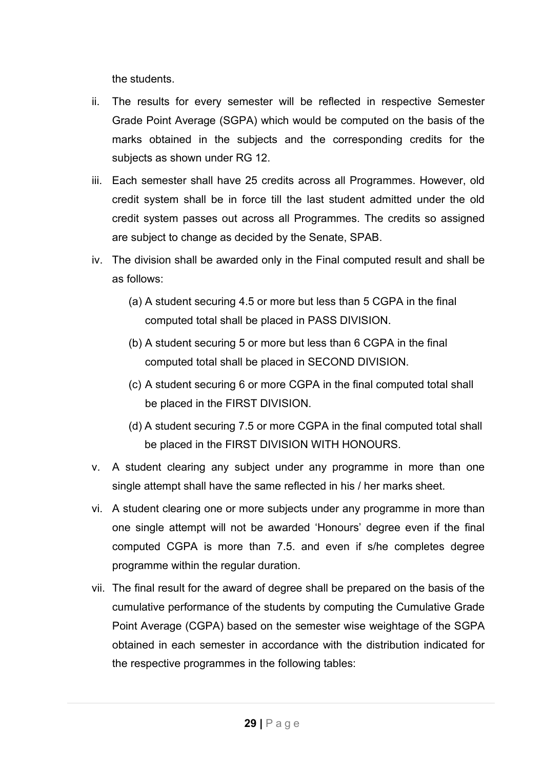the students.

- ii. The results for every semester will be reflected in respective Semester Grade Point Average (SGPA) which would be computed on the basis of the marks obtained in the subjects and the corresponding credits for the subjects as shown under RG 12.
- iii. Each semester shall have 25 credits across all Programmes. However, old credit system shall be in force till the last student admitted under the old credit system passes out across all Programmes. The credits so assigned are subject to change as decided by the Senate, SPAB.
- iv. The division shall be awarded only in the Final computed result and shall be as follows:
	- (a) A student securing 4.5 or more but less than 5 CGPA in the final computed total shall be placed in PASS DIVISION.
	- (b) A student securing 5 or more but less than 6 CGPA in the final computed total shall be placed in SECOND DIVISION.
	- (c) A student securing 6 or more CGPA in the final computed total shall be placed in the FIRST DIVISION.
	- (d) A student securing 7.5 or more CGPA in the final computed total shall be placed in the FIRST DIVISION WITH HONOURS.
- v. A student clearing any subject under any programme in more than one single attempt shall have the same reflected in his / her marks sheet.
- vi. A student clearing one or more subjects under any programme in more than one single attempt will not be awarded 'Honours' degree even if the final computed CGPA is more than 7.5. and even if s/he completes degree programme within the regular duration.
- vii. The final result for the award of degree shall be prepared on the basis of the cumulative performance of the students by computing the Cumulative Grade Point Average (CGPA) based on the semester wise weightage of the SGPA obtained in each semester in accordance with the distribution indicated for the respective programmes in the following tables: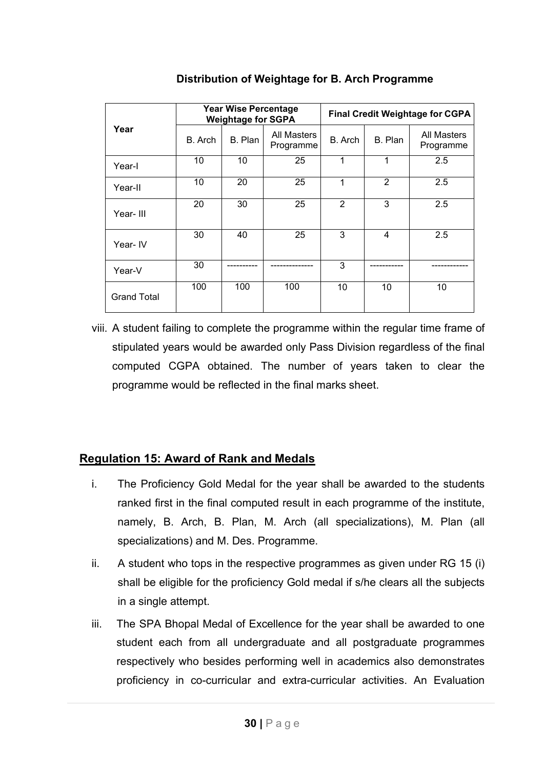|                    | Year Wise Percentage<br><b>Weightage for SGPA</b> |         | <b>Final Credit Weightage for CGPA</b> |                |                |                          |
|--------------------|---------------------------------------------------|---------|----------------------------------------|----------------|----------------|--------------------------|
| Year               | B. Arch                                           | B. Plan | <b>All Masters</b><br>Programme        | B. Arch        | B. Plan        | All Masters<br>Programme |
| Year-I             | 10                                                | 10      | 25                                     | 1              | 1              | 2.5                      |
| Year-II            | 10                                                | 20      | 25                                     | 1              | $\overline{2}$ | 2.5                      |
| Year-III           | 20                                                | 30      | 25                                     | $\overline{2}$ | 3              | 2.5                      |
| Year- IV           | 30                                                | 40      | 25                                     | 3              | 4              | 2.5                      |
| Year-V             | 30                                                |         |                                        | 3              |                |                          |
| <b>Grand Total</b> | 100                                               | 100     | 100                                    | 10             | 10             | 10                       |

**Distribution of Weightage for B. Arch Programme**

viii. A student failing to complete the programme within the regular time frame of stipulated years would be awarded only Pass Division regardless of the final computed CGPA obtained. The number of years taken to clear the programme would be reflected in the final marks sheet.

# **Regulation 15: Award of Rank and Medals**

- i. The Proficiency Gold Medal for the year shall be awarded to the students ranked first in the final computed result in each programme of the institute, namely, B. Arch, B. Plan, M. Arch (all specializations), M. Plan (all specializations) and M. Des. Programme.
- ii. A student who tops in the respective programmes as given under RG 15 (i) shall be eligible for the proficiency Gold medal if s/he clears all the subjects in a single attempt.
- iii. The SPA Bhopal Medal of Excellence for the year shall be awarded to one student each from all undergraduate and all postgraduate programmes respectively who besides performing well in academics also demonstrates proficiency in co-curricular and extra-curricular activities. An Evaluation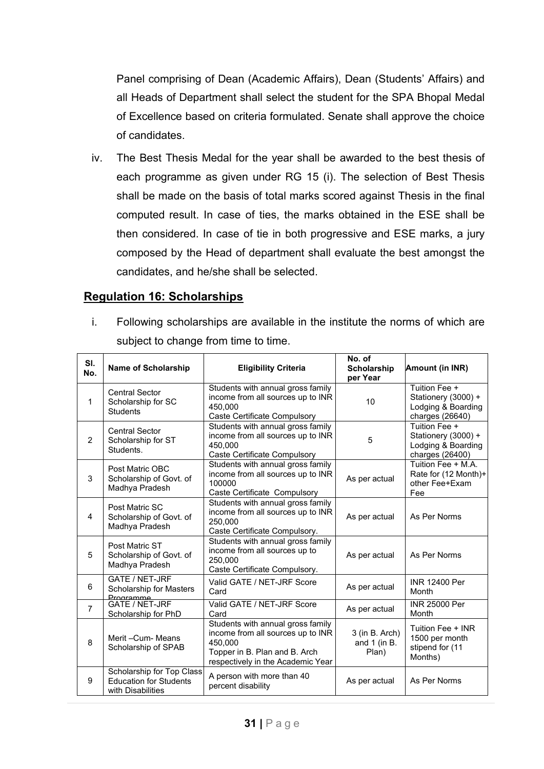Panel comprising of Dean (Academic Affairs), Dean (Students' Affairs) and all Heads of Department shall select the student for the SPA Bhopal Medal of Excellence based on criteria formulated. Senate shall approve the choice of candidates.

iv. The Best Thesis Medal for the year shall be awarded to the best thesis of each programme as given under RG 15 (i). The selection of Best Thesis shall be made on the basis of total marks scored against Thesis in the final computed result. In case of ties, the marks obtained in the ESE shall be then considered. In case of tie in both progressive and ESE marks, a jury composed by the Head of department shall evaluate the best amongst the candidates, and he/she shall be selected.

### **Regulation 16: Scholarships**

i. Following scholarships are available in the institute the norms of which are subject to change from time to time.

| SI.<br>No.     | Name of Scholarship                                                             | <b>Eligibility Criteria</b>                                                                                                                             | No. of<br><b>Scholarship</b><br>per Year  | Amount (in INR)                                                               |
|----------------|---------------------------------------------------------------------------------|---------------------------------------------------------------------------------------------------------------------------------------------------------|-------------------------------------------|-------------------------------------------------------------------------------|
| 1              | <b>Central Sector</b><br>Scholarship for SC<br><b>Students</b>                  | Students with annual gross family<br>income from all sources up to INR<br>450.000<br><b>Caste Certificate Compulsory</b>                                | 10                                        | Tuition Fee +<br>Stationery (3000) +<br>Lodging & Boarding<br>charges (26640) |
| $\overline{2}$ | <b>Central Sector</b><br>Scholarship for ST<br>Students.                        | Students with annual gross family<br>income from all sources up to INR<br>450,000<br><b>Caste Certificate Compulsory</b>                                | 5                                         | Tuition Fee +<br>Stationery (3000) +<br>Lodging & Boarding<br>charges (26400) |
| 3              | Post Matric OBC<br>Scholarship of Govt. of<br>Madhya Pradesh                    | Students with annual gross family<br>income from all sources up to INR<br>100000<br>Caste Certificate Compulsory                                        | As per actual                             | Tuition Fee + M.A.<br>Rate for (12 Month)+<br>other Fee+Exam<br>Fee           |
| 4              | Post Matric SC<br>Scholarship of Govt. of<br>Madhya Pradesh                     | Students with annual gross family<br>income from all sources up to INR<br>250.000<br>Caste Certificate Compulsory.                                      | As per actual                             | As Per Norms                                                                  |
| 5              | Post Matric ST<br>Scholarship of Govt. of<br>Madhya Pradesh                     | Students with annual gross family<br>income from all sources up to<br>250.000<br>Caste Certificate Compulsory.                                          | As per actual                             | As Per Norms                                                                  |
| 6              | GATE / NET-JRF<br>Scholarship for Masters<br>Programme                          | Valid GATE / NET-JRF Score<br>Card                                                                                                                      | As per actual                             | INR 12400 Per<br>Month                                                        |
| $\overline{7}$ | <b>GATE / NET-JRF</b><br>Scholarship for PhD                                    | Valid GATE / NET-JRF Score<br>Card                                                                                                                      | As per actual                             | <b>INR 25000 Per</b><br>Month                                                 |
| 8              | Merit-Cum-Means<br>Scholarship of SPAB                                          | Students with annual gross family<br>income from all sources up to INR<br>450,000<br>Topper in B. Plan and B. Arch<br>respectively in the Academic Year | 3 (in B. Arch)<br>and $1$ (in B.<br>Plan) | Tuition Fee + INR<br>1500 per month<br>stipend for (11<br>Months)             |
| 9              | Scholarship for Top Class<br><b>Education for Students</b><br>with Disabilities | A person with more than 40<br>percent disability                                                                                                        | As per actual                             | As Per Norms                                                                  |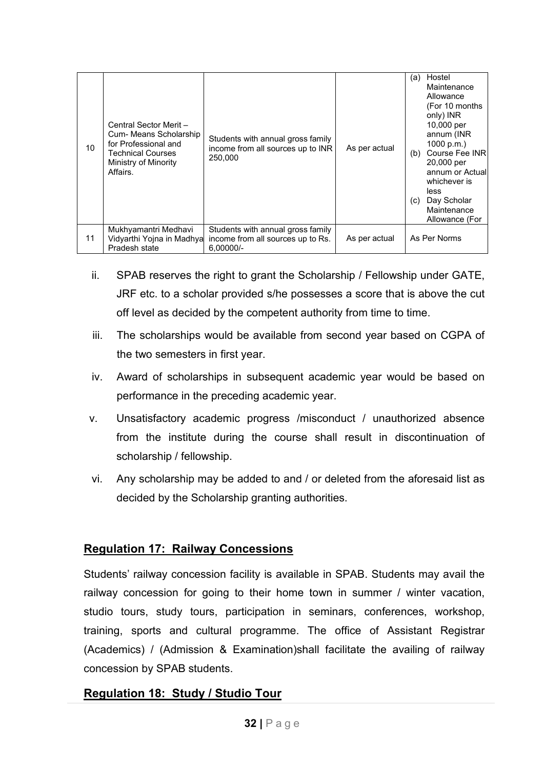| 10 <sup>1</sup> | Central Sector Merit -<br>Cum- Means Scholarship<br>for Professional and<br><b>Technical Courses</b><br>Ministry of Minority<br>Affairs. | Students with annual gross family<br>income from all sources up to INR<br>250.000     | As per actual | Hostel<br>(a)<br>Maintenance<br>Allowance<br>(For 10 months)<br>only) INR<br>10,000 per<br>annum (INR<br>1000 p.m.)<br>Course Fee INR<br>(b)<br>20,000 per<br>annum or Actuall<br>whichever is<br>less<br>Day Scholar<br>(C)<br>Maintenance<br>Allowance (For |
|-----------------|------------------------------------------------------------------------------------------------------------------------------------------|---------------------------------------------------------------------------------------|---------------|---------------------------------------------------------------------------------------------------------------------------------------------------------------------------------------------------------------------------------------------------------------|
| 11              | Mukhyamantri Medhavi<br>Vidyarthi Yojna in Madhya<br>Pradesh state                                                                       | Students with annual gross family<br>income from all sources up to Rs.<br>$6.00000/-$ | As per actual | As Per Norms                                                                                                                                                                                                                                                  |

- $\overline{a}$  ii. SPAB reserves the right to grant the Scholarship / Fellowship under GATE, JRF etc. to a scholar provided s/he possesses a score that is above the cut off level as decided by the competent authority from time to time.
- iii. The scholarships would be available from second year based on CGPA of the two semesters in first year.
- iv. Award of scholarships in subsequent academic year would be based on performance in the preceding academic year.
- v. Unsatisfactory academic progress /misconduct / unauthorized absence from the institute during the course shall result in discontinuation of scholarship / fellowship.
- vi. Any scholarship may be added to and / or deleted from the aforesaid list as decided by the Scholarship granting authorities.

# **Regulation 17: Railway Concessions**

Students' railway concession facility is available in SPAB. Students may avail the railway concession for going to their home town in summer / winter vacation, studio tours, study tours, participation in seminars, conferences, workshop, training, sports and cultural programme. The office of Assistant Registrar (Academics) / (Admission & Examination)shall facilitate the availing of railway concession by SPAB students.

# **Regulation 18: Study / Studio Tour**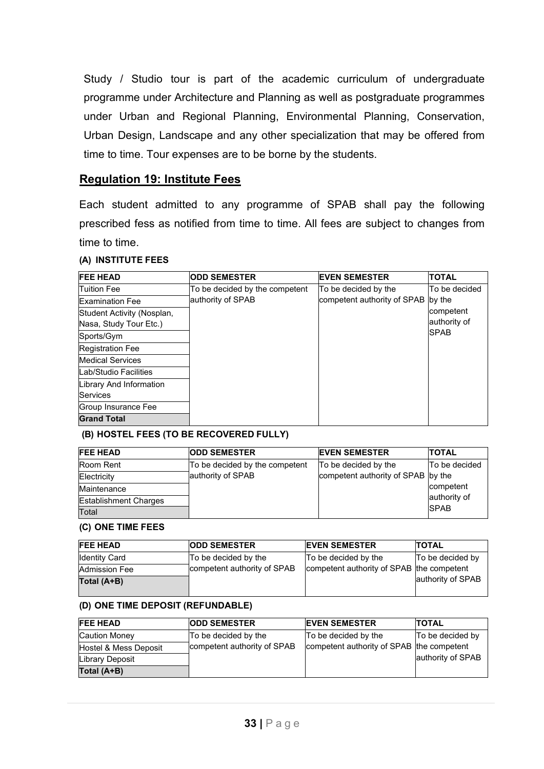Study / Studio tour is part of the academic curriculum of undergraduate programme under Architecture and Planning as well as postgraduate programmes under Urban and Regional Planning, Environmental Planning, Conservation, Urban Design, Landscape and any other specialization that may be offered from time to time. Tour expenses are to be borne by the students.

### **Regulation 19: Institute Fees**

Each student admitted to any programme of SPAB shall pay the following prescribed fess as notified from time to time. All fees are subject to changes from time to time.

#### **(A) INSTITUTE FEES**

| <b>FEE HEAD</b>            | <b>ODD SEMESTER</b>            | <b>EVEN SEMESTER</b>        | <b>TOTAL</b>   |
|----------------------------|--------------------------------|-----------------------------|----------------|
| <b>Tuition Fee</b>         | To be decided by the competent | To be decided by the        | lTo be decided |
| <b>Examination Fee</b>     | authority of SPAB              | competent authority of SPAB | by the         |
| Student Activity (Nosplan, |                                |                             | competent      |
| Nasa, Study Tour Etc.)     |                                |                             | authority of   |
| Sports/Gym                 |                                |                             | <b>SPAB</b>    |
| <b>Registration Fee</b>    |                                |                             |                |
| <b>Medical Services</b>    |                                |                             |                |
| Lab/Studio Facilities      |                                |                             |                |
| Library And Information    |                                |                             |                |
| <b>Services</b>            |                                |                             |                |
| Group Insurance Fee        |                                |                             |                |
| <b>Grand Total</b>         |                                |                             |                |

#### **(B) HOSTEL FEES (TO BE RECOVERED FULLY)**

| <b>IFEE HEAD</b>             | <b>ODD SEMESTER</b>            | <b>EVEN SEMESTER</b>               | <b>TOTAL</b>  |
|------------------------------|--------------------------------|------------------------------------|---------------|
| <b>Room Rent</b>             | To be decided by the competent | To be decided by the               | To be decided |
| Electricity                  | authority of SPAB              | competent authority of SPAB by the |               |
| Maintenance                  |                                |                                    | competent     |
| <b>Establishment Charges</b> |                                |                                    | authority of  |
| Total                        |                                |                                    | <b>SPAB</b>   |

#### **(C) ONE TIME FEES**

| <b>FEE HEAD</b>      | <b>ODD SEMESTER</b>         | <b>EVEN SEMESTER</b>                      | <b>TOTAL</b>      |
|----------------------|-----------------------------|-------------------------------------------|-------------------|
| <b>Identity Card</b> | To be decided by the        | To be decided by the                      | To be decided by  |
| <b>Admission Fee</b> | competent authority of SPAB | competent authority of SPAB the competent |                   |
| Total (A+B)          |                             |                                           | authority of SPAB |
|                      |                             |                                           |                   |

#### **(D) ONE TIME DEPOSIT (REFUNDABLE)**

| <b>FEE HEAD</b>         | <b>ODD SEMESTER</b>         | <b>EVEN SEMESTER</b>                      | <b>TOTAL</b>      |
|-------------------------|-----------------------------|-------------------------------------------|-------------------|
| Caution Money           | To be decided by the        | To be decided by the                      | To be decided by  |
| Hostel & Mess Deposit   | competent authority of SPAB | competent authority of SPAB the competent |                   |
| <b>ILibrary Deposit</b> |                             |                                           | authority of SPAB |
| Total (A+B)             |                             |                                           |                   |